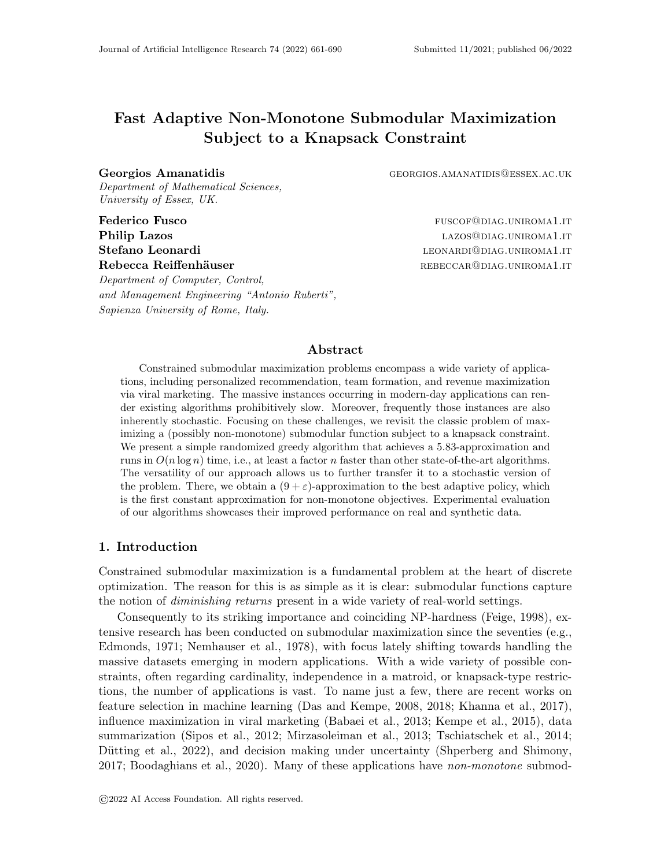# Fast Adaptive Non-Monotone Submodular Maximization Subject to a Knapsack Constraint

Georgios Amanatidis GEORGIOS.AMANATIDIS@ESSEX.AC.UK Department of Mathematical Sciences, University of Essex, UK.

Department of Computer, Control, and Management Engineering "Antonio Ruberti", Sapienza University of Rome, Italy.

Federico Fusco **fusco** fusco **fuscof fuscof fuscof fuscof fuscof fuscof fuscof fuscof fuscof fuscof fuscof fuscof fuscof fuscof fuscof fuscof fuscof fuscof fuscof fuscof fuscof fus Philip Lazos and Separate LAZOS CALLO EXAMPLE 2009 LAZOS CONTROLLATE 2009** LAZOS **CONTROLLATE** Stefano Leonardi and announced the control of the control of the control of the control of the control of the control of the control of the control of the control of the control of the control of the control of the control Rebecca Reiffenhäuser rebeccare rebeccare rebeccare rebeccare rebeccare rebeccare rebeccare rebeccare rebeccare respectively.

### Abstract

Constrained submodular maximization problems encompass a wide variety of applications, including personalized recommendation, team formation, and revenue maximization via viral marketing. The massive instances occurring in modern-day applications can render existing algorithms prohibitively slow. Moreover, frequently those instances are also inherently stochastic. Focusing on these challenges, we revisit the classic problem of maximizing a (possibly non-monotone) submodular function subject to a knapsack constraint. We present a simple randomized greedy algorithm that achieves a 5.83-approximation and runs in  $O(n \log n)$  time, i.e., at least a factor *n* faster than other state-of-the-art algorithms. The versatility of our approach allows us to further transfer it to a stochastic version of the problem. There, we obtain a  $(9 + \varepsilon)$ -approximation to the best adaptive policy, which is the first constant approximation for non-monotone objectives. Experimental evaluation of our algorithms showcases their improved performance on real and synthetic data.

# 1. Introduction

Constrained submodular maximization is a fundamental problem at the heart of discrete optimization. The reason for this is as simple as it is clear: submodular functions capture the notion of *diminishing returns* present in a wide variety of real-world settings.

Consequently to its striking importance and coinciding NP-hardness [\(Feige, 1998\)](#page-26-0), extensive research has been conducted on submodular maximization since the seventies (e.g., [Edmonds, 1971;](#page-25-0) [Nemhauser et al., 1978\)](#page-28-0), with focus lately shifting towards handling the massive datasets emerging in modern applications. With a wide variety of possible constraints, often regarding cardinality, independence in a matroid, or knapsack-type restrictions, the number of applications is vast. To name just a few, there are recent works on feature selection in machine learning [\(Das and Kempe, 2008,](#page-25-1) [2018;](#page-25-2) [Khanna et al., 2017\)](#page-27-0), influence maximization in viral marketing [\(Babaei et al., 2013;](#page-24-0) [Kempe et al., 2015\)](#page-27-1), data summarization [\(Sipos et al., 2012;](#page-28-1) [Mirzasoleiman et al., 2013;](#page-28-2) [Tschiatschek et al., 2014;](#page-28-3) Dütting et al., 2022), and decision making under uncertainty [\(Shperberg and Shimony,](#page-28-4) [2017;](#page-28-4) [Boodaghians et al., 2020\)](#page-24-1). Many of these applications have non-monotone submod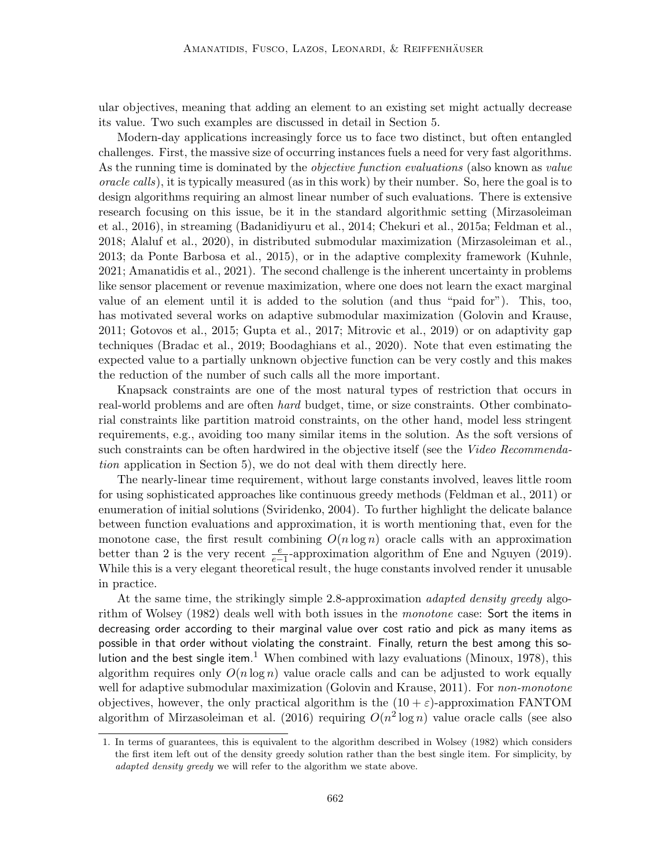ular objectives, meaning that adding an element to an existing set might actually decrease its value. Two such examples are discussed in detail in [Section 5.](#page-17-0)

Modern-day applications increasingly force us to face two distinct, but often entangled challenges. First, the massive size of occurring instances fuels a need for very fast algorithms. As the running time is dominated by the *objective function evaluations* (also known as *value* oracle calls), it is typically measured (as in this work) by their number. So, here the goal is to design algorithms requiring an almost linear number of such evaluations. There is extensive research focusing on this issue, be it in the standard algorithmic setting [\(Mirzasoleiman](#page-28-5) [et al., 2016\)](#page-28-5), in streaming [\(Badanidiyuru et al., 2014;](#page-24-2) [Chekuri et al., 2015a;](#page-25-4) [Feldman et al.,](#page-26-1) [2018;](#page-26-1) [Alaluf et al., 2020\)](#page-23-0), in distributed submodular maximization [\(Mirzasoleiman et al.,](#page-28-2) [2013;](#page-28-2) [da Ponte Barbosa et al., 2015\)](#page-25-5), or in the adaptive complexity framework [\(Kuhnle,](#page-27-2) [2021;](#page-27-2) [Amanatidis et al., 2021\)](#page-23-1). The second challenge is the inherent uncertainty in problems like sensor placement or revenue maximization, where one does not learn the exact marginal value of an element until it is added to the solution (and thus "paid for"). This, too, has motivated several works on adaptive submodular maximization [\(Golovin and Krause,](#page-26-2) [2011;](#page-26-2) [Gotovos et al., 2015;](#page-26-3) [Gupta et al., 2017;](#page-26-4) [Mitrovic et al., 2019\)](#page-28-6) or on adaptivity gap techniques [\(Bradac et al., 2019;](#page-24-3) [Boodaghians et al., 2020\)](#page-24-1). Note that even estimating the expected value to a partially unknown objective function can be very costly and this makes the reduction of the number of such calls all the more important.

Knapsack constraints are one of the most natural types of restriction that occurs in real-world problems and are often *hard* budget, time, or size constraints. Other combinatorial constraints like partition matroid constraints, on the other hand, model less stringent requirements, e.g., avoiding too many similar items in the solution. As the soft versions of such constraints can be often hardwired in the objective itself (see the Video Recommendation application in [Section 5\)](#page-17-0), we do not deal with them directly here.

The nearly-linear time requirement, without large constants involved, leaves little room for using sophisticated approaches like continuous greedy methods [\(Feldman et al., 2011\)](#page-26-5) or enumeration of initial solutions [\(Sviridenko, 2004\)](#page-28-7). To further highlight the delicate balance between function evaluations and approximation, it is worth mentioning that, even for the monotone case, the first result combining  $O(n \log n)$  oracle calls with an approximation better than 2 is the very recent  $\frac{e}{e-1}$ -approximation algorithm of [Ene and Nguyen](#page-25-6) [\(2019\)](#page-25-6). While this is a very elegant theoretical result, the huge constants involved render it unusable in practice.

At the same time, the strikingly simple 2.8-approximation adapted density greedy algo-rithm of [Wolsey](#page-29-0) [\(1982\)](#page-29-0) deals well with both issues in the *monotone* case: Sort the items in decreasing order according to their marginal value over cost ratio and pick as many items as possible in that order without violating the constraint. Finally, return the best among this so-lution and the best single item.<sup>[1](#page-1-0)</sup> When combined with lazy evaluations [\(Minoux, 1978\)](#page-27-3), this algorithm requires only  $O(n \log n)$  value oracle calls and can be adjusted to work equally well for adaptive submodular maximization [\(Golovin and Krause, 2011\)](#page-26-2). For *non-monotone* objectives, however, the only practical algorithm is the  $(10 + \varepsilon)$ -approximation FANTOM algorithm of [Mirzasoleiman et al.](#page-28-5) [\(2016\)](#page-28-5) requiring  $O(n^2 \log n)$  value oracle calls (see also

<span id="page-1-0"></span><sup>1.</sup> In terms of guarantees, this is equivalent to the algorithm described in [Wolsey](#page-29-0) [\(1982\)](#page-29-0) which considers the first item left out of the density greedy solution rather than the best single item. For simplicity, by adapted density greedy we will refer to the algorithm we state above.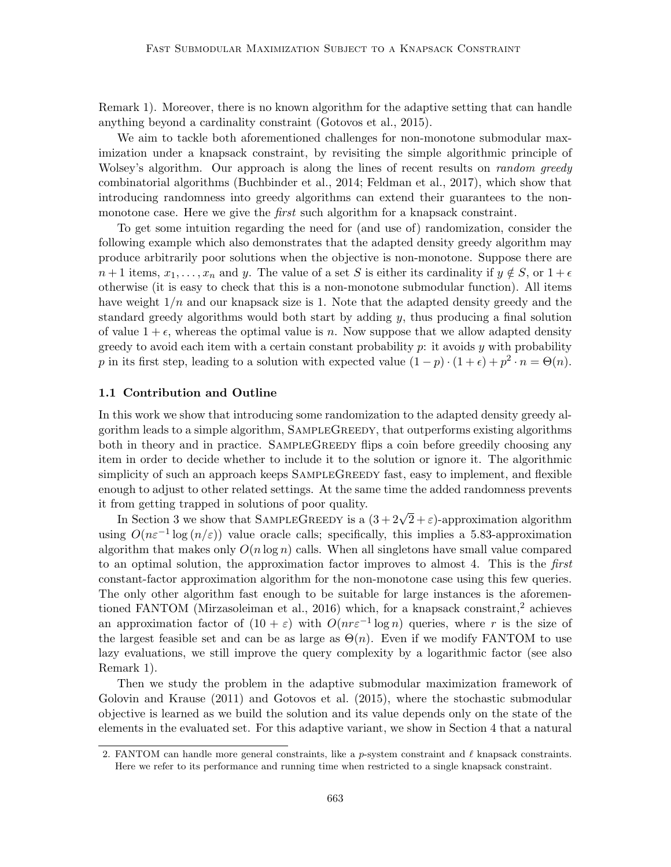[Remark 1\)](#page-19-0). Moreover, there is no known algorithm for the adaptive setting that can handle anything beyond a cardinality constraint [\(Gotovos et al., 2015\)](#page-26-3).

We aim to tackle both aforementioned challenges for non-monotone submodular maximization under a knapsack constraint, by revisiting the simple algorithmic principle of Wolsey's algorithm. Our approach is along the lines of recent results on *random greedy* combinatorial algorithms [\(Buchbinder et al., 2014;](#page-24-4) [Feldman et al., 2017\)](#page-26-6), which show that introducing randomness into greedy algorithms can extend their guarantees to the nonmonotone case. Here we give the *first* such algorithm for a knapsack constraint.

To get some intuition regarding the need for (and use of) randomization, consider the following example which also demonstrates that the adapted density greedy algorithm may produce arbitrarily poor solutions when the objective is non-monotone. Suppose there are  $n+1$  items,  $x_1, \ldots, x_n$  and y. The value of a set S is either its cardinality if  $y \notin S$ , or  $1+\epsilon$ otherwise (it is easy to check that this is a non-monotone submodular function). All items have weight  $1/n$  and our knapsack size is 1. Note that the adapted density greedy and the standard greedy algorithms would both start by adding  $y$ , thus producing a final solution of value  $1 + \epsilon$ , whereas the optimal value is n. Now suppose that we allow adapted density greedy to avoid each item with a certain constant probability  $p$ : it avoids  $y$  with probability p in its first step, leading to a solution with expected value  $(1-p) \cdot (1+\epsilon) + p^2 \cdot n = \Theta(n)$ .

#### 1.1 Contribution and Outline

In this work we show that introducing some randomization to the adapted density greedy algorithm leads to a simple algorithm, SampleGreedy, that outperforms existing algorithms both in theory and in practice. SAMPLEGREEDY flips a coin before greedily choosing any item in order to decide whether to include it to the solution or ignore it. The algorithmic simplicity of such an approach keeps SAMPLEGREEDY fast, easy to implement, and flexible enough to adjust to other related settings. At the same time the added randomness prevents it from getting trapped in solutions of poor quality.

om getting trapped in solutions of poor quanty.<br>In [Section 3](#page-7-0) we show that SAMPLEGREEDY is a  $(3 + 2\sqrt{2} + \varepsilon)$ -approximation algorithm using  $O(n\varepsilon^{-1} \log(n/\varepsilon))$  value oracle calls; specifically, this implies a 5.83-approximation algorithm that makes only  $O(n \log n)$  calls. When all singletons have small value compared to an optimal solution, the approximation factor improves to almost 4. This is the first constant-factor approximation algorithm for the non-monotone case using this few queries. The only other algorithm fast enough to be suitable for large instances is the aforemen-tioned FANTOM [\(Mirzasoleiman et al., 2016\)](#page-28-5) which, for a knapsack constraint,<sup>[2](#page-2-0)</sup> achieves an approximation factor of  $(10 + \varepsilon)$  with  $O(nr\varepsilon^{-1} \log n)$  queries, where r is the size of the largest feasible set and can be as large as  $\Theta(n)$ . Even if we modify FANTOM to use lazy evaluations, we still improve the query complexity by a logarithmic factor (see also [Remark 1\)](#page-19-0).

Then we study the problem in the adaptive submodular maximization framework of [Golovin and Krause](#page-26-2) [\(2011\)](#page-26-2) and [Gotovos et al.](#page-26-3) [\(2015\)](#page-26-3), where the stochastic submodular objective is learned as we build the solution and its value depends only on the state of the elements in the evaluated set. For this adaptive variant, we show in [Section 4](#page-13-0) that a natural

<span id="page-2-0"></span><sup>2.</sup> FANTOM can handle more general constraints, like a p-system constraint and  $\ell$  knapsack constraints. Here we refer to its performance and running time when restricted to a single knapsack constraint.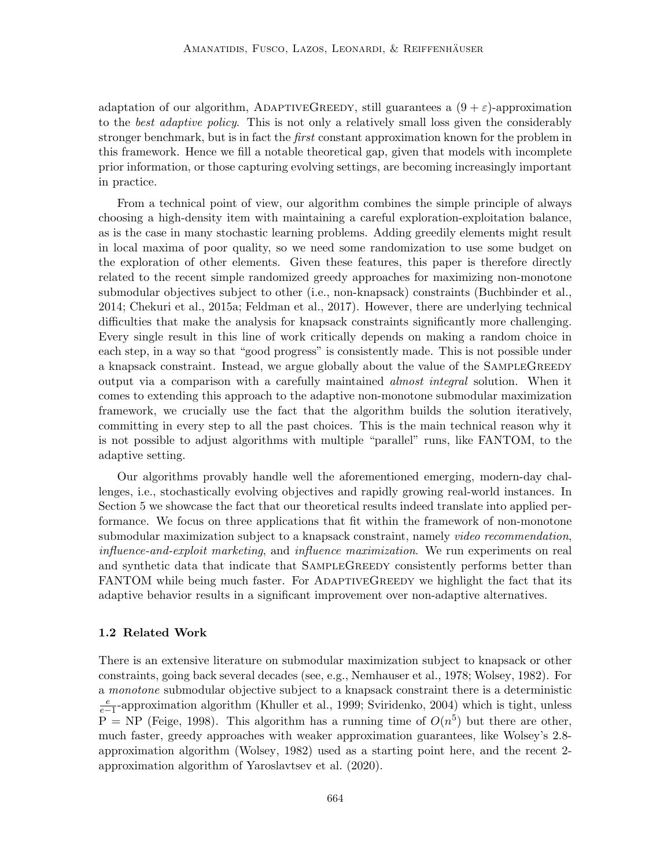adaptation of our algorithm, ADAPTIVEGREEDY, still guarantees a  $(9 + \varepsilon)$ -approximation to the best adaptive policy. This is not only a relatively small loss given the considerably stronger benchmark, but is in fact the *first* constant approximation known for the problem in this framework. Hence we fill a notable theoretical gap, given that models with incomplete prior information, or those capturing evolving settings, are becoming increasingly important in practice.

From a technical point of view, our algorithm combines the simple principle of always choosing a high-density item with maintaining a careful exploration-exploitation balance, as is the case in many stochastic learning problems. Adding greedily elements might result in local maxima of poor quality, so we need some randomization to use some budget on the exploration of other elements. Given these features, this paper is therefore directly related to the recent simple randomized greedy approaches for maximizing non-monotone submodular objectives subject to other (i.e., non-knapsack) constraints [\(Buchbinder et al.,](#page-24-4) [2014;](#page-24-4) [Chekuri et al., 2015a;](#page-25-4) [Feldman et al., 2017\)](#page-26-6). However, there are underlying technical difficulties that make the analysis for knapsack constraints significantly more challenging. Every single result in this line of work critically depends on making a random choice in each step, in a way so that "good progress" is consistently made. This is not possible under a knapsack constraint. Instead, we argue globally about the value of the SAMPLEGREEDY output via a comparison with a carefully maintained almost integral solution. When it comes to extending this approach to the adaptive non-monotone submodular maximization framework, we crucially use the fact that the algorithm builds the solution iteratively, committing in every step to all the past choices. This is the main technical reason why it is not possible to adjust algorithms with multiple "parallel" runs, like FANTOM, to the adaptive setting.

Our algorithms provably handle well the aforementioned emerging, modern-day challenges, i.e., stochastically evolving objectives and rapidly growing real-world instances. In [Section 5](#page-17-0) we showcase the fact that our theoretical results indeed translate into applied performance. We focus on three applications that fit within the framework of non-monotone submodular maximization subject to a knapsack constraint, namely video recommendation, influence-and-exploit marketing, and influence maximization. We run experiments on real and synthetic data that indicate that SampleGreedy consistently performs better than FANTOM while being much faster. For ADAPTIVEGREEDY we highlight the fact that its adaptive behavior results in a significant improvement over non-adaptive alternatives.

#### 1.2 Related Work

There is an extensive literature on submodular maximization subject to knapsack or other constraints, going back several decades (see, e.g., [Nemhauser et al., 1978;](#page-28-0) [Wolsey, 1982\)](#page-29-0). For a monotone submodular objective subject to a knapsack constraint there is a deterministic  $\frac{e}{e-1}$ -approximation algorithm [\(Khuller et al., 1999;](#page-27-4) [Sviridenko, 2004\)](#page-28-7) which is tight, unless  $P = NP$  [\(Feige, 1998\)](#page-26-0). This algorithm has a running time of  $O(n^5)$  but there are other, much faster, greedy approaches with weaker approximation guarantees, like Wolsey's 2.8 approximation algorithm [\(Wolsey, 1982\)](#page-29-0) used as a starting point here, and the recent 2 approximation algorithm of [Yaroslavtsev et al.](#page-29-1) [\(2020\)](#page-29-1).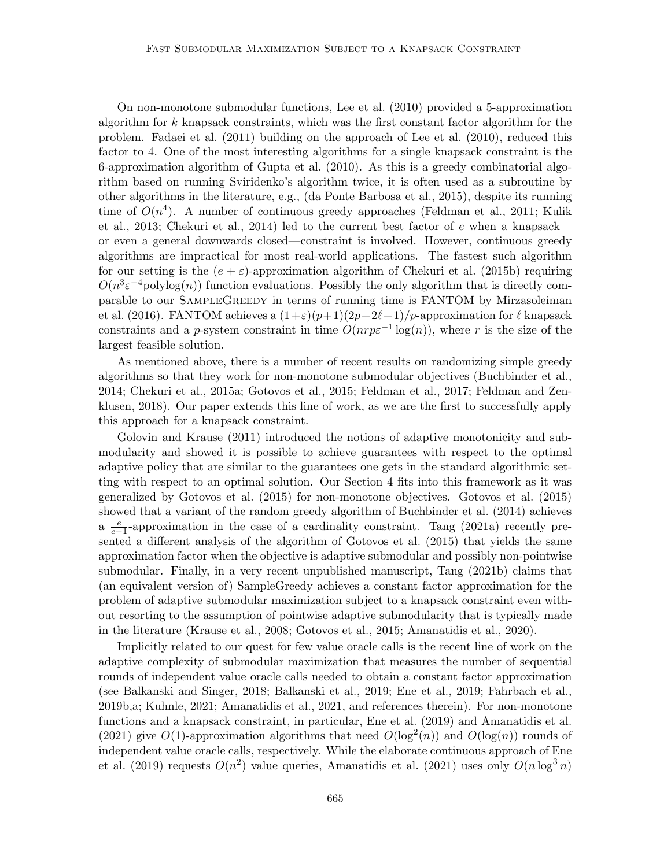On non-monotone submodular functions, [Lee et al.](#page-27-5) [\(2010\)](#page-27-5) provided a 5-approximation algorithm for k knapsack constraints, which was the first constant factor algorithm for the problem. [Fadaei et al.](#page-25-7) [\(2011\)](#page-25-7) building on the approach of [Lee et al.](#page-27-5) [\(2010\)](#page-27-5), reduced this factor to 4. One of the most interesting algorithms for a single knapsack constraint is the 6-approximation algorithm of [Gupta et al.](#page-26-7) [\(2010\)](#page-26-7). As this is a greedy combinatorial algorithm based on running Sviridenko's algorithm twice, it is often used as a subroutine by other algorithms in the literature, e.g., [\(da Ponte Barbosa et al., 2015\)](#page-25-5), despite its running time of  $O(n^4)$ . A number of continuous greedy approaches [\(Feldman et al., 2011;](#page-26-5) [Kulik](#page-27-6) [et al., 2013;](#page-27-6) [Chekuri et al., 2014\)](#page-25-8) led to the current best factor of  $e$  when a knapsack or even a general downwards closed—constraint is involved. However, continuous greedy algorithms are impractical for most real-world applications. The fastest such algorithm for our setting is the  $(e + \varepsilon)$ -approximation algorithm of [Chekuri et al.](#page-25-9) [\(2015b\)](#page-25-9) requiring  $O(n^3 \varepsilon^{-4}$ polylog $(n)$ ) function evaluations. Possibly the only algorithm that is directly comparable to our SampleGreedy in terms of running time is FANTOM by [Mirzasoleiman](#page-28-5) [et al.](#page-28-5) [\(2016\)](#page-28-5). FANTOM achieves a  $(1+\varepsilon)(p+1)(2p+2\ell+1)/p$ -approximation for  $\ell$  knapsack constraints and a p-system constraint in time  $O(nrp\varepsilon^{-1}\log(n))$ , where r is the size of the largest feasible solution.

As mentioned above, there is a number of recent results on randomizing simple greedy algorithms so that they work for non-monotone submodular objectives [\(Buchbinder et al.,](#page-24-4) [2014;](#page-24-4) [Chekuri et al., 2015a;](#page-25-4) [Gotovos et al., 2015;](#page-26-3) [Feldman et al., 2017;](#page-26-6) [Feldman and Zen](#page-26-8)[klusen, 2018\)](#page-26-8). Our paper extends this line of work, as we are the first to successfully apply this approach for a knapsack constraint.

[Golovin and Krause](#page-26-2) [\(2011\)](#page-26-2) introduced the notions of adaptive monotonicity and submodularity and showed it is possible to achieve guarantees with respect to the optimal adaptive policy that are similar to the guarantees one gets in the standard algorithmic setting with respect to an optimal solution. Our [Section 4](#page-13-0) fits into this framework as it was generalized by [Gotovos et al.](#page-26-3) [\(2015\)](#page-26-3) for non-monotone objectives. [Gotovos et al.](#page-26-3) [\(2015\)](#page-26-3) showed that a variant of the random greedy algorithm of [Buchbinder et al.](#page-24-4) [\(2014\)](#page-24-4) achieves a  $\frac{e}{e-1}$ -approximation in the case of a cardinality constraint. [Tang](#page-28-8) [\(2021a\)](#page-28-8) recently presented a different analysis of the algorithm of [Gotovos et al.](#page-26-3) [\(2015\)](#page-26-3) that yields the same approximation factor when the objective is adaptive submodular and possibly non-pointwise submodular. Finally, in a very recent unpublished manuscript, [Tang](#page-28-9) [\(2021b\)](#page-28-9) claims that (an equivalent version of) SampleGreedy achieves a constant factor approximation for the problem of adaptive submodular maximization subject to a knapsack constraint even without resorting to the assumption of pointwise adaptive submodularity that is typically made in the literature [\(Krause et al., 2008;](#page-27-7) [Gotovos et al., 2015;](#page-26-3) [Amanatidis et al., 2020\)](#page-24-5).

Implicitly related to our quest for few value oracle calls is the recent line of work on the adaptive complexity of submodular maximization that measures the number of sequential rounds of independent value oracle calls needed to obtain a constant factor approximation (see [Balkanski and Singer, 2018;](#page-24-6) [Balkanski et al., 2019;](#page-24-7) [Ene et al., 2019;](#page-25-10) [Fahrbach et al.,](#page-26-9) [2019b,](#page-26-9)[a;](#page-26-10) [Kuhnle, 2021;](#page-27-2) [Amanatidis et al., 2021,](#page-23-1) and references therein). For non-monotone functions and a knapsack constraint, in particular, [Ene et al.](#page-25-10) [\(2019\)](#page-25-10) and [Amanatidis et al.](#page-23-1) [\(2021\)](#page-23-1) give  $O(1)$ -approximation algorithms that need  $O(\log^2(n))$  and  $O(\log(n))$  rounds of independent value oracle calls, respectively. While the elaborate continuous approach of [Ene](#page-25-10) [et al.](#page-25-10) [\(2019\)](#page-25-10) requests  $O(n^2)$  value queries, [Amanatidis et al.](#page-23-1) [\(2021\)](#page-23-1) uses only  $O(n \log^3 n)$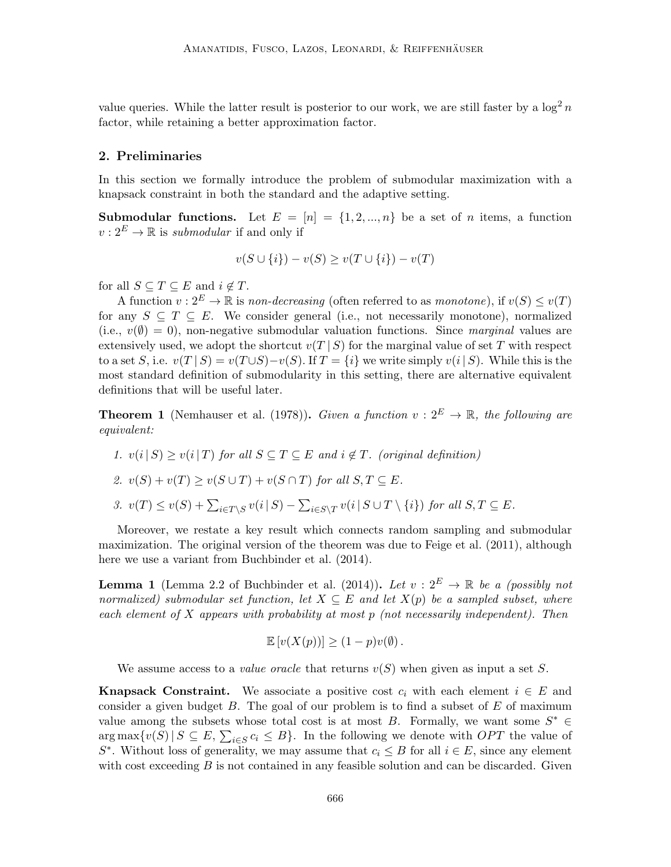value queries. While the latter result is posterior to our work, we are still faster by a  $\log^2 n$ factor, while retaining a better approximation factor.

# 2. Preliminaries

In this section we formally introduce the problem of submodular maximization with a knapsack constraint in both the standard and the adaptive setting.

**Submodular functions.** Let  $E = [n] = \{1, 2, ..., n\}$  be a set of *n* items, a function  $v: 2^E \to \mathbb{R}$  is *submodular* if and only if

$$
v(S \cup \{i\}) - v(S) \ge v(T \cup \{i\}) - v(T)
$$

for all  $S \subseteq T \subseteq E$  and  $i \notin T$ .

A function  $v: 2^E \to \mathbb{R}$  is non-decreasing (often referred to as monotone), if  $v(S) \le v(T)$ for any  $S \subseteq T \subseteq E$ . We consider general (i.e., not necessarily monotone), normalized (i.e.,  $v(\emptyset) = 0$ ), non-negative submodular valuation functions. Since marginal values are extensively used, we adopt the shortcut  $v(T | S)$  for the marginal value of set T with respect to a set S, i.e.  $v(T | S) = v(T \cup S) - v(S)$ . If  $T = \{i\}$  we write simply  $v(i | S)$ . While this is the most standard definition of submodularity in this setting, there are alternative equivalent definitions that will be useful later.

**Theorem 1** [\(Nemhauser et al.](#page-28-0) [\(1978\)](#page-28-0)). Given a function  $v: 2^E \to \mathbb{R}$ , the following are equivalent:

\n- 1. 
$$
v(i|S) \geq v(i|T)
$$
 for all  $S \subseteq T \subseteq E$  and  $i \notin T$ . (original definition)
\n- 2.  $v(S) + v(T) \geq v(S \cup T) + v(S \cap T)$  for all  $S, T \subseteq E$ .
\n- 3.  $v(T) \leq v(S) + \sum_{i \in T \setminus S} v(i|S) - \sum_{i \in S \setminus T} v(i|S \cup T \setminus \{i\})$  for all  $S, T \subseteq E$ .
\n

Moreover, we restate a key result which connects random sampling and submodular maximization. The original version of the theorem was due to [Feige et al.](#page-26-11) [\(2011\)](#page-26-11), although here we use a variant from [Buchbinder et al.](#page-24-4) [\(2014\)](#page-24-4).

<span id="page-5-0"></span>**Lemma 1** (Lemma 2.2 of [Buchbinder et al.](#page-24-4) [\(2014\)](#page-24-4)). Let  $v: 2^E \rightarrow \mathbb{R}$  be a (possibly not normalized) submodular set function, let  $X \subseteq E$  and let  $X(p)$  be a sampled subset, where each element of  $X$  appears with probability at most  $p$  (not necessarily independent). Then

$$
\mathbb{E}\left[v(X(p))\right] \ge (1-p)v(\emptyset).
$$

We assume access to a *value oracle* that returns  $v(S)$  when given as input a set S.

**Knapsack Constraint.** We associate a positive cost  $c_i$  with each element  $i \in E$  and consider a given budget  $B$ . The goal of our problem is to find a subset of  $E$  of maximum value among the subsets whose total cost is at most B. Formally, we want some  $S^* \in$  $\arg \max \{v(S) | S \subseteq E, \sum_{i \in S} c_i \leq B\}$ . In the following we denote with *OPT* the value of  $S^*$ . Without loss of generality, we may assume that  $c_i \leq B$  for all  $i \in E$ , since any element with cost exceeding  $B$  is not contained in any feasible solution and can be discarded. Given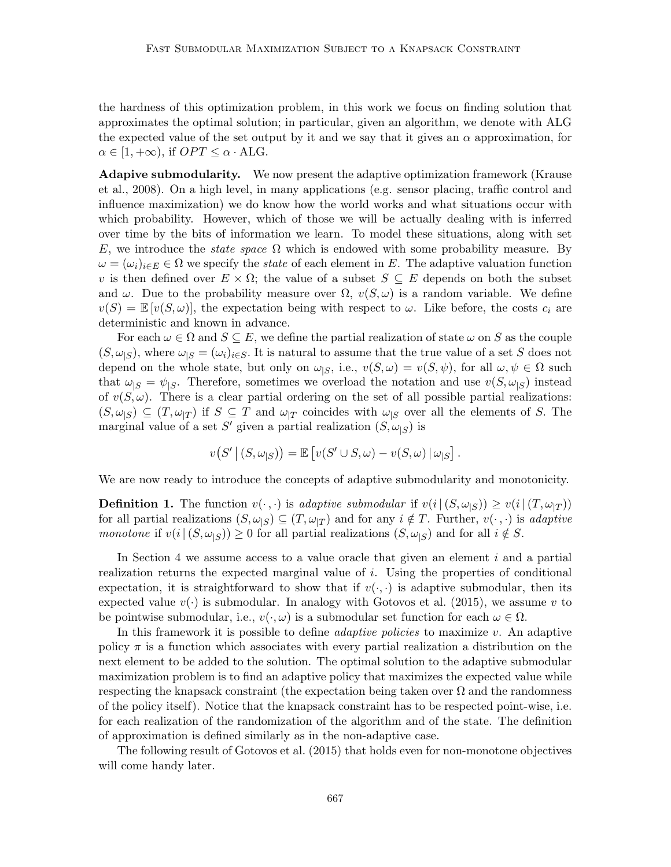the hardness of this optimization problem, in this work we focus on finding solution that approximates the optimal solution; in particular, given an algorithm, we denote with ALG the expected value of the set output by it and we say that it gives an  $\alpha$  approximation, for  $\alpha \in [1, +\infty)$ , if  $OPT \leq \alpha \cdot ALG$ .

Adapive submodularity. We now present the adaptive optimization framework [\(Krause](#page-27-7) [et al., 2008\)](#page-27-7). On a high level, in many applications (e.g. sensor placing, traffic control and influence maximization) we do know how the world works and what situations occur with which probability. However, which of those we will be actually dealing with is inferred over time by the bits of information we learn. To model these situations, along with set E, we introduce the *state space*  $\Omega$  which is endowed with some probability measure. By  $\omega = (\omega_i)_{i \in E} \in \Omega$  we specify the *state* of each element in E. The adaptive valuation function v is then defined over  $E \times \Omega$ ; the value of a subset  $S \subseteq E$  depends on both the subset and  $\omega$ . Due to the probability measure over  $\Omega$ ,  $v(S,\omega)$  is a random variable. We define  $v(S) = \mathbb{E}[v(S, \omega)]$ , the expectation being with respect to  $\omega$ . Like before, the costs  $c_i$  are deterministic and known in advance.

For each  $\omega \in \Omega$  and  $S \subseteq E$ , we define the partial realization of state  $\omega$  on S as the couple  $(S, \omega_{|S})$ , where  $\omega_{|S} = (\omega_i)_{i \in S}$ . It is natural to assume that the true value of a set S does not depend on the whole state, but only on  $\omega_{|S}$ , i.e.,  $v(S,\omega) = v(S,\psi)$ , for all  $\omega, \psi \in \Omega$  such that  $\omega_{|S} = \psi_{|S}$ . Therefore, sometimes we overload the notation and use  $v(S, \omega_{|S})$  instead of  $v(S, \omega)$ . There is a clear partial ordering on the set of all possible partial realizations:  $(S, \omega_{\vert S}) \subseteq (T, \omega_{\vert T})$  if  $S \subseteq T$  and  $\omega_{\vert T}$  coincides with  $\omega_{\vert S}$  over all the elements of S. The marginal value of a set S' given a partial realization  $(S, \omega_{|S})$  is

$$
v(S' | (S, \omega_{|S})) = \mathbb{E} [v(S' \cup S, \omega) - v(S, \omega) | \omega_{|S}].
$$

We are now ready to introduce the concepts of adaptive submodularity and monotonicity.

**Definition 1.** The function  $v(\cdot, \cdot)$  is adaptive submodular if  $v(i|(S, \omega_{|S})) \geq v(i|(T, \omega_{|T}))$ for all partial realizations  $(S, \omega_{|S}) \subseteq (T, \omega_{|T})$  and for any  $i \notin T$ . Further,  $v(\cdot, \cdot)$  is adaptive monotone if  $v(i|(S, \omega_{|S})) \geq 0$  for all partial realizations  $(S, \omega_{|S})$  and for all  $i \notin S$ .

In [Section 4](#page-13-0) we assume access to a value oracle that given an element  $i$  and a partial realization returns the expected marginal value of  $i$ . Using the properties of conditional expectation, it is straightforward to show that if  $v(\cdot, \cdot)$  is adaptive submodular, then its expected value  $v(\cdot)$  is submodular. In analogy with [Gotovos et al.](#page-26-3) [\(2015\)](#page-26-3), we assume v to be pointwise submodular, i.e.,  $v(\cdot,\omega)$  is a submodular set function for each  $\omega \in \Omega$ .

In this framework it is possible to define *adaptive policies* to maximize  $v$ . An adaptive policy  $\pi$  is a function which associates with every partial realization a distribution on the next element to be added to the solution. The optimal solution to the adaptive submodular maximization problem is to find an adaptive policy that maximizes the expected value while respecting the knapsack constraint (the expectation being taken over  $\Omega$  and the randomness of the policy itself). Notice that the knapsack constraint has to be respected point-wise, i.e. for each realization of the randomization of the algorithm and of the state. The definition of approximation is defined similarly as in the non-adaptive case.

<span id="page-6-0"></span>The following result of [Gotovos et al.](#page-26-3) [\(2015\)](#page-26-3) that holds even for non-monotone objectives will come handy later.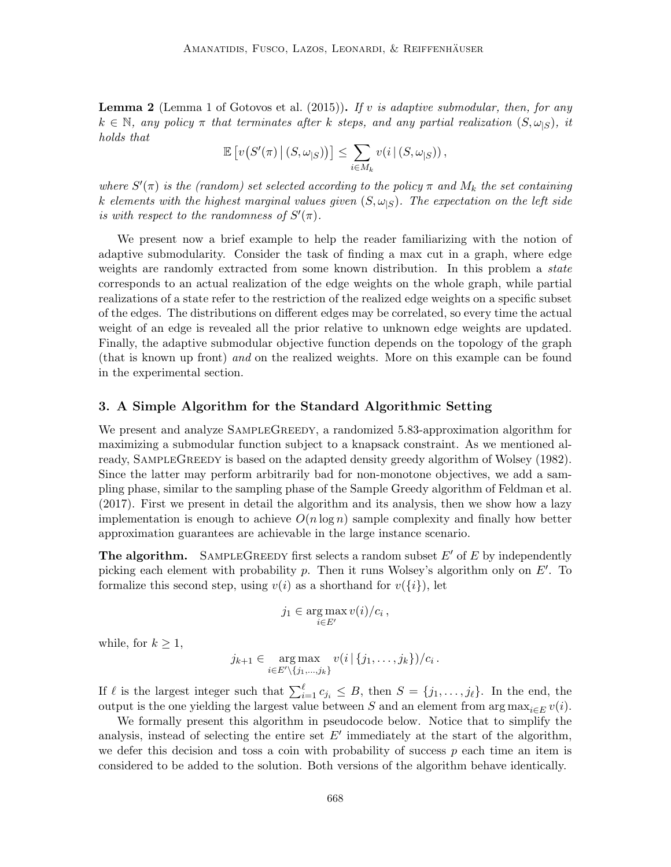**Lemma 2** (Lemma 1 of [Gotovos et al.](#page-26-3) [\(2015\)](#page-26-3)). If v is adaptive submodular, then, for any  $k \in \mathbb{N}$ , any policy  $\pi$  that terminates after k steps, and any partial realization  $(S, \omega_{|S})$ , it holds that

$$
\mathbb{E}\left[v(S'(\pi)\,|\,(S,\omega_{|S}))\right] \leq \sum_{i\in M_k} v(i\,|\,(S,\omega_{|S}))\,,
$$

where  $S'(\pi)$  is the (random) set selected according to the policy  $\pi$  and  $M_k$  the set containing k elements with the highest marginal values given  $(S, \omega_{\vert S})$ . The expectation on the left side is with respect to the randomness of  $S'(\pi)$ .

We present now a brief example to help the reader familiarizing with the notion of adaptive submodularity. Consider the task of finding a max cut in a graph, where edge weights are randomly extracted from some known distribution. In this problem a *state* corresponds to an actual realization of the edge weights on the whole graph, while partial realizations of a state refer to the restriction of the realized edge weights on a specific subset of the edges. The distributions on different edges may be correlated, so every time the actual weight of an edge is revealed all the prior relative to unknown edge weights are updated. Finally, the adaptive submodular objective function depends on the topology of the graph (that is known up front) and on the realized weights. More on this example can be found in the experimental section.

#### <span id="page-7-0"></span>3. A Simple Algorithm for the Standard Algorithmic Setting

We present and analyze SAMPLEGREEDY, a randomized 5.83-approximation algorithm for maximizing a submodular function subject to a knapsack constraint. As we mentioned al-ready, SAMPLEGREEDY is based on the adapted density greedy algorithm of [Wolsey](#page-29-0) [\(1982\)](#page-29-0). Since the latter may perform arbitrarily bad for non-monotone objectives, we add a sampling phase, similar to the sampling phase of the Sample Greedy algorithm of [Feldman et al.](#page-26-6) [\(2017\)](#page-26-6). First we present in detail the algorithm and its analysis, then we show how a lazy implementation is enough to achieve  $O(n \log n)$  sample complexity and finally how better approximation guarantees are achievable in the large instance scenario.

The algorithm. SAMPLEGREEDY first selects a random subset  $E'$  of  $E$  by independently picking each element with probability  $p$ . Then it runs Wolsey's algorithm only on  $E'$ . To formalize this second step, using  $v(i)$  as a shorthand for  $v(\{i\})$ , let

$$
j_1 \in \arg\max_{i \in E'} v(i)/c_i,
$$

while, for  $k \geq 1$ ,

$$
j_{k+1} \in \underset{i \in E' \setminus \{j_1,\ldots,j_k\}}{\arg \max} v(i \mid \{j_1,\ldots,j_k\})/c_i.
$$

If  $\ell$  is the largest integer such that  $\sum_{i=1}^{\ell} c_{j_i} \leq B$ , then  $S = \{j_1, \ldots, j_{\ell}\}.$  In the end, the output is the one yielding the largest value between S and an element from arg  $\max_{i\in E} v(i)$ .

<span id="page-7-1"></span>We formally present this algorithm in pseudocode below. Notice that to simplify the analysis, instead of selecting the entire set  $E'$  immediately at the start of the algorithm, we defer this decision and toss a coin with probability of success  $p$  each time an item is considered to be added to the solution. Both versions of the algorithm behave identically.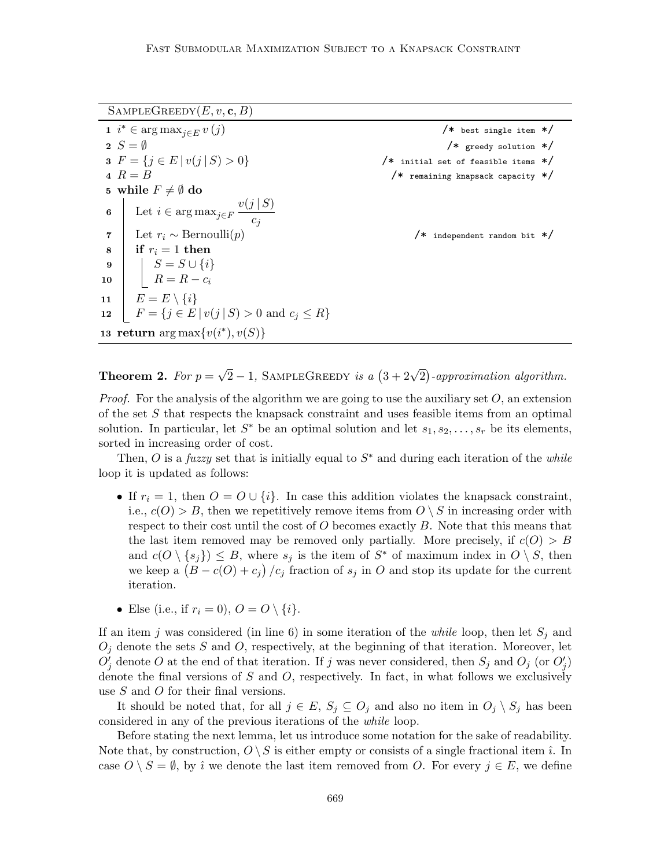$SAMPLEGREEDY(E, v, c, B)$ 

<span id="page-8-0"></span>

|                                         | 1 $i^* \in \arg \max_{j \in E} v(j)$                                                          | $/*$ best single item */                |
|-----------------------------------------|-----------------------------------------------------------------------------------------------|-----------------------------------------|
|                                         | $2 S = \emptyset$                                                                             | $/*$ greedy solution $*/$               |
|                                         | <b>3</b> $F = \{j \in E   v(j   S) > 0\}$                                                     | $/*$ initial set of feasible items $*/$ |
|                                         | $4 R = B$                                                                                     | $/*$ remaining knapsack capacity $*/$   |
| 5 while $F \neq \emptyset$ do           |                                                                                               |                                         |
|                                         | 6 Let $i \in \arg \max_{j \in F} \frac{v(j \mid S)}{c_j}$                                     |                                         |
|                                         | 7 Let $r_i \sim \text{Bernoulli}(p)$                                                          | $/*$ independent random bit $*/$        |
|                                         | $\mathbf{s}$   if $r_i = 1$ then                                                              |                                         |
|                                         |                                                                                               |                                         |
|                                         | $\begin{array}{c c} \mathbf{9} & B \ \mathbf{10} & B \ \mathbf{10} & R = R - c_i \end{array}$ |                                         |
|                                         | 11 $E = E \setminus \{i\}$                                                                    |                                         |
|                                         | 12 $F = \{j \in E   v(j   S) > 0 \text{ and } c_j \le R\}$                                    |                                         |
| 13 return $\arg \max \{v(i^*), v(S)\}\$ |                                                                                               |                                         |

**Theorem 2.** For  $p =$  $\sqrt{2}-1$ , SAMPLEGREEDY is a  $(3+2\sqrt{2})$ -approximation algorithm.

*Proof.* For the analysis of the algorithm we are going to use the auxiliary set  $O$ , an extension of the set S that respects the knapsack constraint and uses feasible items from an optimal solution. In particular, let  $S^*$  be an optimal solution and let  $s_1, s_2, \ldots, s_r$  be its elements, sorted in increasing order of cost.

Then, O is a fuzzy set that is initially equal to  $S^*$  and during each iteration of the while loop it is updated as follows:

- If  $r_i = 1$ , then  $O = O \cup \{i\}$ . In case this addition violates the knapsack constraint, i.e.,  $c(O) > B$ , then we repetitively remove items from  $O \setminus S$  in increasing order with respect to their cost until the cost of  $O$  becomes exactly  $B$ . Note that this means that the last item removed may be removed only partially. More precisely, if  $c(O) > B$ and  $c(O \setminus \{s_j\}) \leq B$ , where  $s_j$  is the item of  $S^*$  of maximum index in  $O \setminus S$ , then we keep a  $(B - c(O) + c_j) / c_j$  fraction of  $s_j$  in O and stop its update for the current iteration.
- Else (i.e., if  $r_i = 0$ ),  $O = O \setminus \{i\}$ .

If an item j was considered (in line [6\)](#page-8-0) in some iteration of the *while* loop, then let  $S_j$  and  $O_j$  denote the sets S and O, respectively, at the beginning of that iteration. Moreover, let  $O_j'$  denote O at the end of that iteration. If j was never considered, then  $S_j$  and  $O_j$  (or  $O_j'$ ) denote the final versions of  $S$  and  $O$ , respectively. In fact, in what follows we exclusively use S and O for their final versions.

It should be noted that, for all  $j \in E$ ,  $S_j \subseteq O_j$  and also no item in  $O_j \setminus S_j$  has been considered in any of the previous iterations of the while loop.

Before stating the next lemma, let us introduce some notation for the sake of readability. Note that, by construction,  $O \setminus S$  is either empty or consists of a single fractional item  $\hat{\imath}$ . In case  $O \setminus S = \emptyset$ , by  $\hat{\imath}$  we denote the last item removed from O. For every  $j \in E$ , we define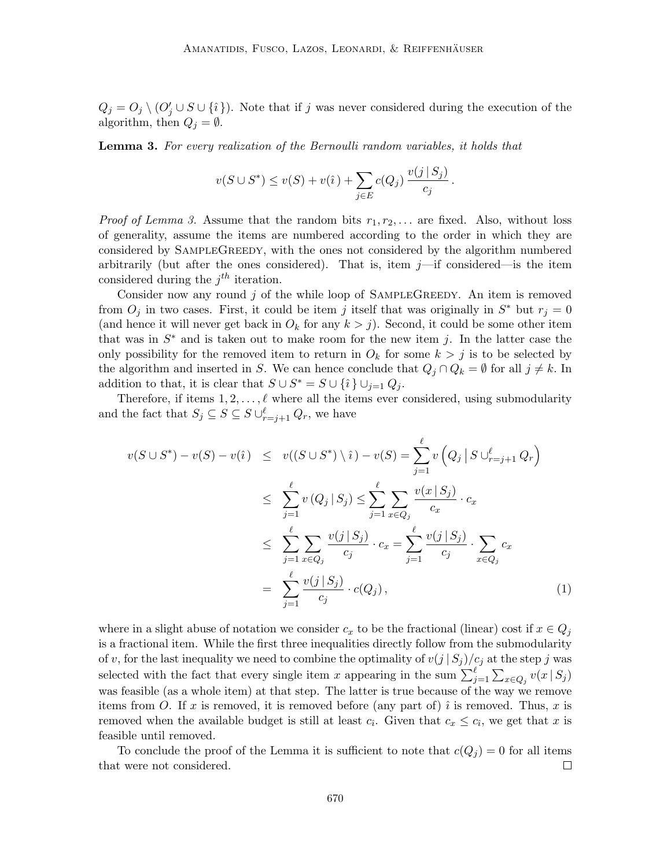$Q_j = O_j \setminus (O'_j \cup S \cup \{i\})$ . Note that if j was never considered during the execution of the algorithm, then  $Q_i = \emptyset$ .

<span id="page-9-0"></span>**Lemma 3.** For every realization of the Bernoulli random variables, it holds that

$$
v(S \cup S^*) \le v(S) + v(\hat{i}) + \sum_{j \in E} c(Q_j) \frac{v(j \mid S_j)}{c_j}.
$$

*Proof of [Lemma 3.](#page-9-0)* Assume that the random bits  $r_1, r_2, \ldots$  are fixed. Also, without loss of generality, assume the items are numbered according to the order in which they are considered by SampleGreedy, with the ones not considered by the algorithm numbered arbitrarily (but after the ones considered). That is, item  $j$ —if considered—is the item considered during the  $j<sup>th</sup>$  iteration.

Consider now any round  $j$  of the while loop of SAMPLEGREEDY. An item is removed from  $O_j$  in two cases. First, it could be item j itself that was originally in  $S^*$  but  $r_j = 0$ (and hence it will never get back in  $O_k$  for any  $k > j$ ). Second, it could be some other item that was in  $S^*$  and is taken out to make room for the new item j. In the latter case the only possibility for the removed item to return in  $O_k$  for some  $k > j$  is to be selected by the algorithm and inserted in S. We can hence conclude that  $Q_j \cap Q_k = \emptyset$  for all  $j \neq k$ . In addition to that, it is clear that  $S \cup S^* = S \cup \{\hat{\imath}\}\cup_{j=1} Q_j$ .

Therefore, if items  $1, 2, \ldots, \ell$  where all the items ever considered, using submodularity and the fact that  $S_j \subseteq S \subseteq S \cup_{r=j+1}^{\ell} Q_r$ , we have

<span id="page-9-1"></span>
$$
v(S \cup S^*) - v(S) - v(\hat{u}) \leq v((S \cup S^*) \setminus \hat{u}) - v(S) = \sum_{j=1}^{\ell} v(Q_j | S \cup_{r=j+1}^{\ell} Q_r)
$$
  

$$
\leq \sum_{j=1}^{\ell} v(Q_j | S_j) \leq \sum_{j=1}^{\ell} \sum_{x \in Q_j} \frac{v(x | S_j)}{c_x} \cdot c_x
$$
  

$$
\leq \sum_{j=1}^{\ell} \sum_{x \in Q_j} \frac{v(j | S_j)}{c_j} \cdot c_x = \sum_{j=1}^{\ell} \frac{v(j | S_j)}{c_j} \cdot \sum_{x \in Q_j} c_x
$$
  

$$
= \sum_{j=1}^{\ell} \frac{v(j | S_j)}{c_j} \cdot c(Q_j), \qquad (1)
$$

where in a slight abuse of notation we consider  $c_x$  to be the fractional (linear) cost if  $x \in Q_j$ is a fractional item. While the first three inequalities directly follow from the submodularity of v, for the last inequality we need to combine the optimality of  $v(j | S_j)/c_j$  at the step j was selected with the fact that every single item x appearing in the sum  $\sum_{j=1}^{\ell} \sum_{x \in Q_j} v(x | S_j)$ was feasible (as a whole item) at that step. The latter is true because of the way we remove items from O. If x is removed, it is removed before (any part of)  $\hat{i}$  is removed. Thus, x is removed when the available budget is still at least  $c_i$ . Given that  $c_x \leq c_i$ , we get that x is feasible until removed.

To conclude the proof of the Lemma it is sufficient to note that  $c(Q_j) = 0$  for all items that were not considered.  $\Box$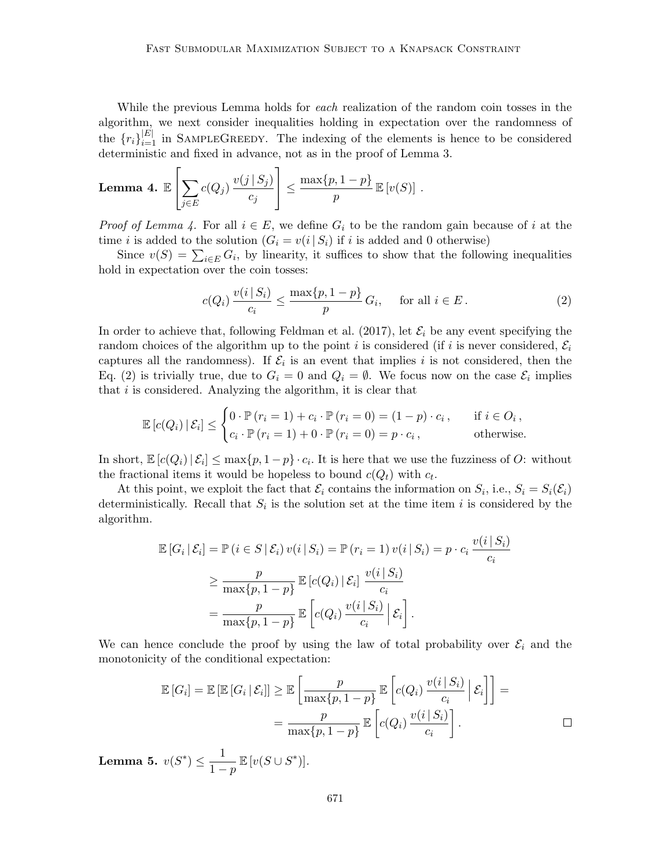While the previous Lemma holds for *each* realization of the random coin tosses in the algorithm, we next consider inequalities holding in expectation over the randomness of the  ${r_i}_{i=1}^{|E|}$  in SAMPLEGREEDY. The indexing of the elements is hence to be considered deterministic and fixed in advance, not as in the proof of [Lemma 3.](#page-9-0)

<span id="page-10-0"></span>**Lemma 4.** 
$$
\mathbb{E}\left[\sum_{j\in E} c(Q_j) \frac{v(j \mid S_j)}{c_j}\right] \leq \frac{\max\{p, 1-p\}}{p} \mathbb{E}\left[v(S)\right].
$$

*Proof of [Lemma 4.](#page-10-0)* For all  $i \in E$ , we define  $G_i$  to be the random gain because of i at the time *i* is added to the solution  $(G_i = v(i | S_i))$  if *i* is added and 0 otherwise)

Since  $v(S) = \sum_{i \in E} G_i$ , by linearity, it suffices to show that the following inequalities hold in expectation over the coin tosses:

<span id="page-10-1"></span>
$$
c(Q_i) \frac{v(i \mid S_i)}{c_i} \le \frac{\max\{p, 1-p\}}{p} G_i, \quad \text{for all } i \in E.
$$
 (2)

In order to achieve that, following [Feldman et al.](#page-26-6) [\(2017\)](#page-26-6), let  $\mathcal{E}_i$  be any event specifying the random choices of the algorithm up to the point i is considered (if i is never considered,  $\mathcal{E}_i$ captures all the randomness). If  $\mathcal{E}_i$  is an event that implies i is not considered, then the [Eq. \(2\)](#page-10-1) is trivially true, due to  $G_i = 0$  and  $Q_i = \emptyset$ . We focus now on the case  $\mathcal{E}_i$  implies that  $i$  is considered. Analyzing the algorithm, it is clear that

$$
\mathbb{E}\left[c(Q_i)\,|\,\mathcal{E}_i\right] \leq \begin{cases} 0 \cdot \mathbb{P}\left(r_i=1\right) + c_i \cdot \mathbb{P}\left(r_i=0\right) = (1-p) \cdot c_i \,, & \text{if } i \in O_i \,, \\ c_i \cdot \mathbb{P}\left(r_i=1\right) + 0 \cdot \mathbb{P}\left(r_i=0\right) = p \cdot c_i \,, & \text{otherwise.} \end{cases}
$$

In short,  $\mathbb{E}[c(Q_i) | \mathcal{E}_i] \le \max\{p, 1 - p\} \cdot c_i$ . It is here that we use the fuzziness of O: without the fractional items it would be hopeless to bound  $c(Q_t)$  with  $c_t$ .

At this point, we exploit the fact that  $\mathcal{E}_i$  contains the information on  $S_i$ , i.e.,  $S_i = S_i(\mathcal{E}_i)$ deterministically. Recall that  $S_i$  is the solution set at the time item i is considered by the algorithm.

$$
\mathbb{E}\left[G_i\,|\,\mathcal{E}_i\right] = \mathbb{P}\left(i \in S \,|\,\mathcal{E}_i\right) v(i \,|\, S_i) = \mathbb{P}\left(r_i = 1\right) v(i \,|\, S_i) = p \cdot c_i \, \frac{v(i \,|\, S_i)}{c_i}
$$
\n
$$
\geq \frac{p}{\max\{p, 1 - p\}} \mathbb{E}\left[c(Q_i)\,|\,\mathcal{E}_i\right] \frac{v(i \,|\, S_i)}{c_i}
$$
\n
$$
= \frac{p}{\max\{p, 1 - p\}} \mathbb{E}\left[c(Q_i)\, \frac{v(i \,|\, S_i)}{c_i}\,|\,\mathcal{E}_i\right].
$$

We can hence conclude the proof by using the law of total probability over  $\mathcal{E}_i$  and the monotonicity of the conditional expectation:

$$
\mathbb{E}\left[G_i\right] = \mathbb{E}\left[\mathbb{E}\left[G_i \mid \mathcal{E}_i\right]\right] \geq \mathbb{E}\left[\frac{p}{\max\{p, 1-p\}} \mathbb{E}\left[c(Q_i) \frac{v(i \mid S_i)}{c_i} \mid \mathcal{E}_i\right]\right] = \frac{p}{\max\{p, 1-p\}} \mathbb{E}\left[c(Q_i) \frac{v(i \mid S_i)}{c_i}\right].
$$

<span id="page-10-2"></span>Lemma 5.  $v(S^*) \leq \frac{1}{1}$  $\frac{1}{1-p}\mathbb{E}\left[v(S\cup S^*)\right].$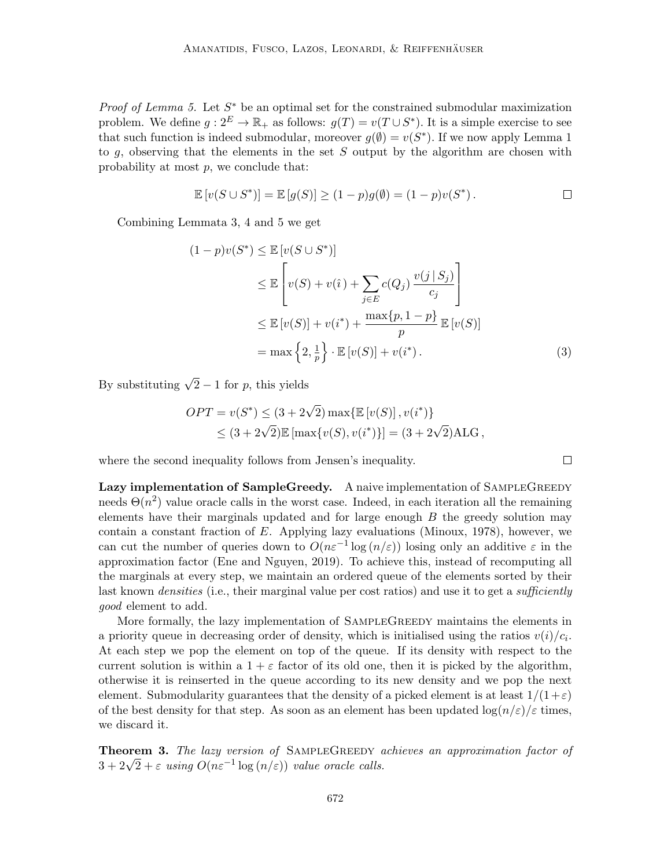*Proof of [Lemma 5.](#page-10-2)* Let  $S^*$  be an optimal set for the constrained submodular maximization problem. We define  $g: 2^E \to \mathbb{R}_+$  as follows:  $g(T) = v(T \cup S^*)$ . It is a simple exercise to see that such function is indeed submodular, moreover  $g(\emptyset) = v(S^*)$ . If we now apply [Lemma 1](#page-5-0) to q, observing that the elements in the set S output by the algorithm are chosen with probability at most  $p$ , we conclude that:

$$
\mathbb{E}[v(S \cup S^*)] = \mathbb{E}[g(S)] \ge (1-p)g(\emptyset) = (1-p)v(S^*).
$$

Combining Lemmata [3,](#page-9-0) [4](#page-10-0) and [5](#page-10-2) we get

$$
(1-p)v(S^*) \leq \mathbb{E}\left[v(S \cup S^*)\right]
$$
  
\n
$$
\leq \mathbb{E}\left[v(S) + v(\hat{\imath}) + \sum_{j \in E} c(Q_j) \frac{v(j \mid S_j)}{c_j}\right]
$$
  
\n
$$
\leq \mathbb{E}\left[v(S)\right] + v(i^*) + \frac{\max\{p, 1-p\}}{p} \mathbb{E}\left[v(S)\right]
$$
  
\n
$$
= \max\left\{2, \frac{1}{p}\right\} \cdot \mathbb{E}\left[v(S)\right] + v(i^*).
$$
 (3)

By substituting  $\sqrt{2} - 1$  for p, this yields

$$
OPT = v(S^*) \le (3 + 2\sqrt{2}) \max\{\mathbb{E}[v(S)], v(i^*)\}
$$
  

$$
\le (3 + 2\sqrt{2})\mathbb{E}[\max\{v(S), v(i^*)\}] = (3 + 2\sqrt{2})ALG,
$$

where the second inequality follows from Jensen's inequality.

Lazy implementation of SampleGreedy. A naive implementation of SAMPLEGREEDY needs  $\Theta(n^2)$  value oracle calls in the worst case. Indeed, in each iteration all the remaining elements have their marginals updated and for large enough  $B$  the greedy solution may contain a constant fraction of  $E$ . Applying lazy evaluations [\(Minoux, 1978\)](#page-27-3), however, we can cut the number of queries down to  $O(n\varepsilon^{-1} \log(n/\varepsilon))$  losing only an additive  $\varepsilon$  in the approximation factor [\(Ene and Nguyen, 2019\)](#page-25-6). To achieve this, instead of recomputing all the marginals at every step, we maintain an ordered queue of the elements sorted by their last known *densities* (i.e., their marginal value per cost ratios) and use it to get a *sufficiently* good element to add.

More formally, the lazy implementation of SAMPLEGREEDY maintains the elements in a priority queue in decreasing order of density, which is initialised using the ratios  $v(i)/c_i$ . At each step we pop the element on top of the queue. If its density with respect to the current solution is within a  $1 + \varepsilon$  factor of its old one, then it is picked by the algorithm, otherwise it is reinserted in the queue according to its new density and we pop the next element. Submodularity guarantees that the density of a picked element is at least  $1/(1+\varepsilon)$ of the best density for that step. As soon as an element has been updated  $\log(n/\varepsilon)/\varepsilon$  times, we discard it.

**Theorem 3.** The lazy version of SAMPLEGREEDY achieves an approximation factor of **Theorem 3.** The tazy version of SAMPLEGREEDY a<br> $3 + 2\sqrt{2} + \varepsilon$  using  $O(n\varepsilon^{-1} \log(n/\varepsilon))$  value oracle calls.

<span id="page-11-0"></span> $\Box$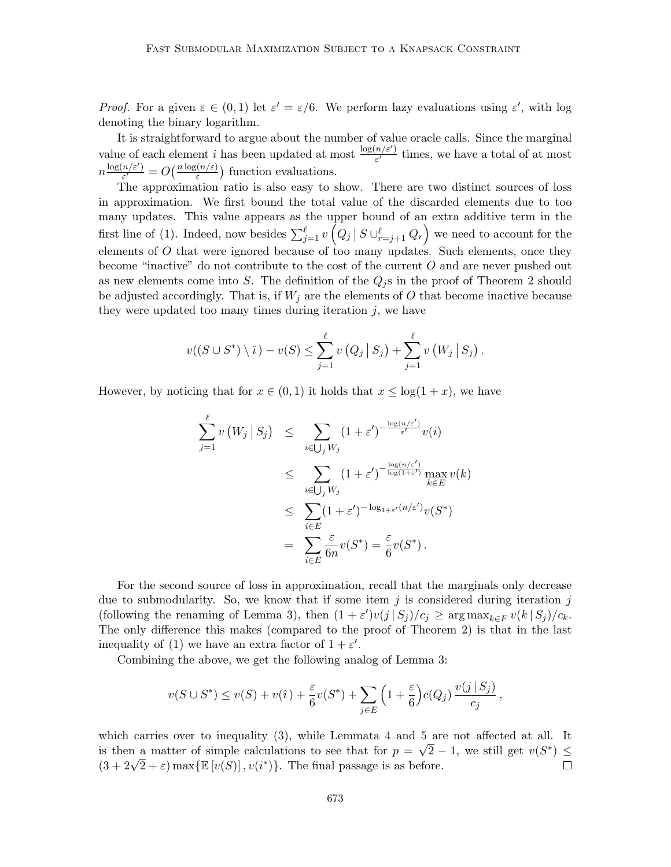*Proof.* For a given  $\varepsilon \in (0,1)$  let  $\varepsilon' = \varepsilon/6$ . We perform lazy evaluations using  $\varepsilon'$ , with log denoting the binary logarithm.

It is straightforward to argue about the number of value oracle calls. Since the marginal value of each element i has been updated at most  $\frac{\log(n/\varepsilon')}{\varepsilon'}$  $\frac{n}{\varepsilon'}$  times, we have a total of at most  $n \frac{\log(n/\varepsilon')}{\varepsilon'}$  $\frac{f(n/\varepsilon')}{\varepsilon'} = O\left(\frac{n \log(n/\varepsilon)}{\varepsilon}\right)$  function evaluations.

The approximation ratio is also easy to show. There are two distinct sources of loss in approximation. We first bound the total value of the discarded elements due to too many updates. This value appears as the upper bound of an extra additive term in the first line of [\(1\)](#page-9-1). Indeed, now besides  $\sum_{j=1}^{\ell} v(Q_j | S \cup_{r=j+1}^{\ell} Q_r)$  we need to account for the elements of  $O$  that were ignored because of too many updates. Such elements, once they become "inactive" do not contribute to the cost of the current O and are never pushed out as new elements come into S. The definition of the  $Q_j$ s in the proof of [Theorem 2](#page-7-1) should be adjusted accordingly. That is, if  $W_j$  are the elements of O that become inactive because they were updated too many times during iteration  $j$ , we have

$$
v((S \cup S^*) \setminus i) - v(S) \le \sum_{j=1}^{\ell} v(Q_j | S_j) + \sum_{j=1}^{\ell} v(W_j | S_j).
$$

However, by noticing that for  $x \in (0,1)$  it holds that  $x \leq \log(1+x)$ , we have

$$
\sum_{j=1}^{\ell} v\left(W_j \mid S_j\right) \leq \sum_{i \in \bigcup_j W_j} (1 + \varepsilon')^{-\frac{\log(n/\varepsilon')}{\varepsilon'}} v(i)
$$
  

$$
\leq \sum_{i \in \bigcup_j W_j} (1 + \varepsilon')^{-\frac{\log(n/\varepsilon')}{\log(1 + \varepsilon')}} \max_{k \in E} v(k)
$$
  

$$
\leq \sum_{i \in E} (1 + \varepsilon')^{-\log_{1 + \varepsilon'}(n/\varepsilon')} v(S^*)
$$
  

$$
= \sum_{i \in E} \frac{\varepsilon}{6n} v(S^*) = \frac{\varepsilon}{6} v(S^*).
$$

For the second source of loss in approximation, recall that the marginals only decrease due to submodularity. So, we know that if some item  $j$  is considered during iteration  $j$ (following the renaming of [Lemma 3\)](#page-9-0), then  $(1 + \varepsilon')v(j | S_j)/c_j \ge \arg \max_{k \in F} v(k | S_j)/c_k$ . The only difference this makes (compared to the proof of [Theorem 2\)](#page-7-1) is that in the last inequality of [\(1\)](#page-9-1) we have an extra factor of  $1 + \varepsilon'$ .

Combining the above, we get the following analog of [Lemma 3:](#page-9-0)

$$
v(S\cup S^*) \le v(S) + v(\hat{\imath}) + \frac{\varepsilon}{6}v(S^*) + \sum_{j\in E} \left(1 + \frac{\varepsilon}{6}\right)c(Q_j) \frac{v(j\,|\,S_j)}{c_j},
$$

which carries over to inequality [\(3\)](#page-11-0), while Lemmata [4](#page-10-0) and [5](#page-10-2) are not affected at all. It is then a matter of simple calculations to see that for  $p = \sqrt{2} - 1$ , we still get  $v(S^*) \leq$ is then a matter of simple calculations to see that for  $p = \sqrt{2} - (3 + 2\sqrt{2} + \varepsilon) \max{\mathbb{E}[v(S)]}, v(i^*)\}$ . The final passage is as before.  $\Box$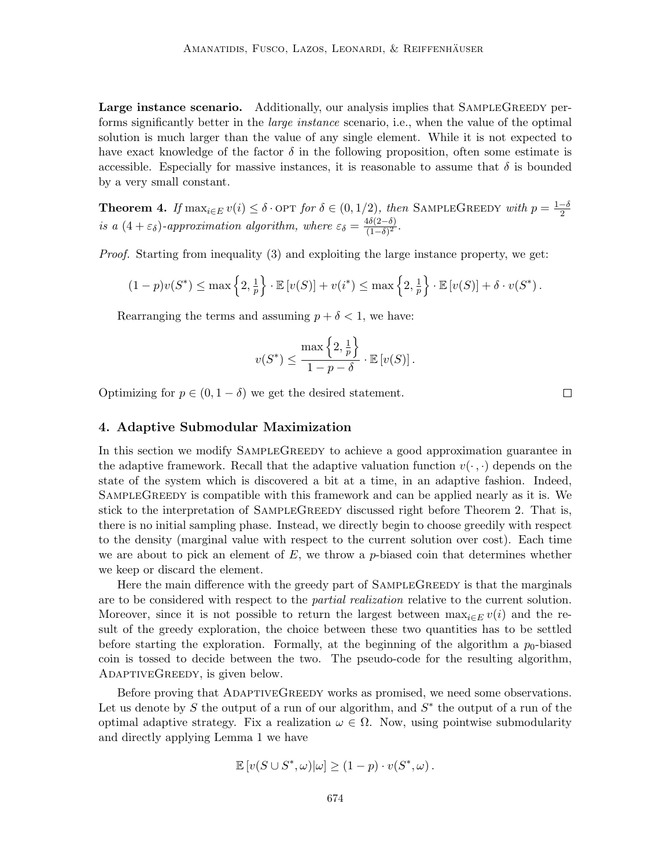Large instance scenario. Additionally, our analysis implies that SAMPLEGREEDY performs significantly better in the large instance scenario, i.e., when the value of the optimal solution is much larger than the value of any single element. While it is not expected to have exact knowledge of the factor  $\delta$  in the following proposition, often some estimate is accessible. Especially for massive instances, it is reasonable to assume that  $\delta$  is bounded by a very small constant.

**Theorem 4.** If  $\max_{i \in E} v(i) \leq \delta$  · OPT for  $\delta \in (0, 1/2)$ , then SAMPLEGREEDY with  $p = \frac{1-\delta}{2}$ 2 is a  $(4+\varepsilon_{\delta})$ -approximation algorithm, where  $\varepsilon_{\delta} = \frac{4\delta(2-\delta)}{(1-\delta)^2}$  $\frac{4\sigma(2-\sigma)}{(1-\delta)^2}$ .

*Proof.* Starting from inequality  $(3)$  and exploiting the large instance property, we get:

$$
(1-p)v(S^*) \le \max\left\{2, \frac{1}{p}\right\} \cdot \mathbb{E}\left[v(S)\right] + v(i^*) \le \max\left\{2, \frac{1}{p}\right\} \cdot \mathbb{E}\left[v(S)\right] + \delta \cdot v(S^*)\,.
$$

Rearranging the terms and assuming  $p + \delta < 1$ , we have:

$$
v(S^*) \le \frac{\max\left\{2, \frac{1}{p}\right\}}{1 - p - \delta} \cdot \mathbb{E}\left[v(S)\right].
$$

Optimizing for  $p \in (0, 1 - \delta)$  we get the desired statement.

 $\Box$ 

## <span id="page-13-0"></span>4. Adaptive Submodular Maximization

In this section we modify SampleGreedy to achieve a good approximation guarantee in the adaptive framework. Recall that the adaptive valuation function  $v(\cdot, \cdot)$  depends on the state of the system which is discovered a bit at a time, in an adaptive fashion. Indeed, SAMPLEGREEDY is compatible with this framework and can be applied nearly as it is. We stick to the interpretation of SampleGreedy discussed right before [Theorem 2.](#page-7-1) That is, there is no initial sampling phase. Instead, we directly begin to choose greedily with respect to the density (marginal value with respect to the current solution over cost). Each time we are about to pick an element of  $E$ , we throw a p-biased coin that determines whether we keep or discard the element.

Here the main difference with the greedy part of SAMPLEGREEDY is that the marginals are to be considered with respect to the *partial realization* relative to the current solution. Moreover, since it is not possible to return the largest between  $\max_{i \in E} v(i)$  and the result of the greedy exploration, the choice between these two quantities has to be settled before starting the exploration. Formally, at the beginning of the algorithm a  $p_0$ -biased coin is tossed to decide between the two. The pseudo-code for the resulting algorithm, AdaptiveGreedy, is given below.

Before proving that ADAPTIVEGREEDY works as promised, we need some observations. Let us denote by S the output of a run of our algorithm, and  $S^*$  the output of a run of the optimal adaptive strategy. Fix a realization  $\omega \in \Omega$ . Now, using pointwise submodularity and directly applying [Lemma 1](#page-5-0) we have

$$
\mathbb{E}\left[v(S\cup S^*,\omega)|\omega\right] \ge (1-p)\cdot v(S^*,\omega).
$$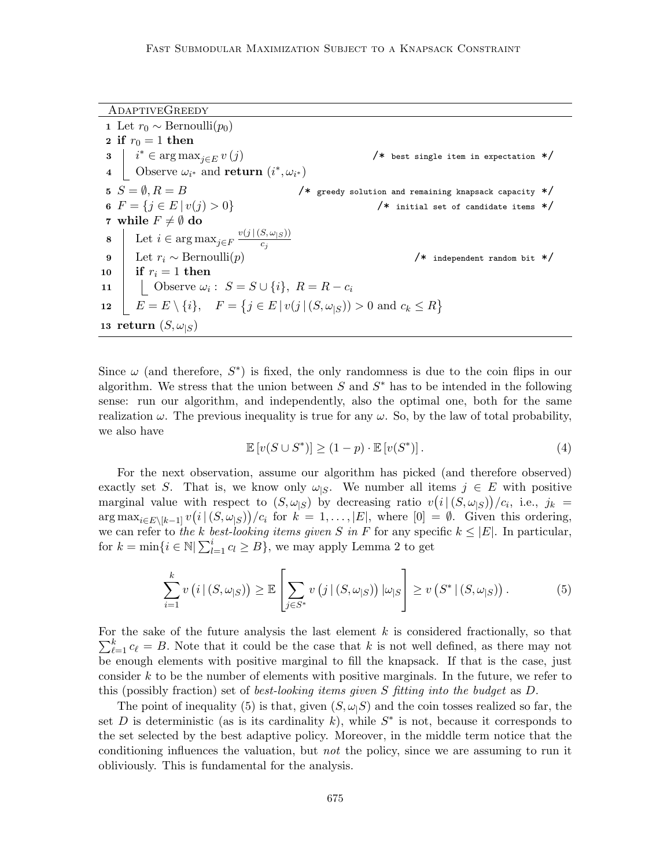AdaptiveGreedy 1 Let  $r_0 \sim \text{Bernoulli}(p_0)$ 2 if  $r_0 = 1$  then  $\mathbf{3} \mid i^* \in \arg \max_{j \in E} v(j)$ /\* best single item in expectation \*/ 4 Observe  $\omega_{i^*}$  and return  $(i^*, \omega_{i^*})$ 5  $S = \emptyset, R = B$  /\* greedy solution and remaining knapsack capacity \*/ 6  $F = \{j \in E \mid v(j) > 0\}$  /\* initial set of candidate items \*/ 7 while  $F \neq \emptyset$  do 8 Let  $i \in \arg \max_{j \in F} \frac{v(j | (S, \omega_{|S}))}{c_i}$  $\overline{c_j}$ 9 Let  $r_i \sim \text{Bernoulli}(p)$  /\* independent random bit \*/ 10 if  $r_i = 1$  then 11 | Observe  $\omega_i: S = S \cup \{i\}, R = R - c_i$ 12  $\left| E = E \setminus \{i\}, \ F = \{j \in E \mid v(j \mid (S, \omega_{|S})) > 0 \text{ and } c_k \le R\}\right|$ 13 return  $(S, \omega_{|S})$ 

<span id="page-14-2"></span>Since  $\omega$  (and therefore,  $S^*$ ) is fixed, the only randomness is due to the coin flips in our algorithm. We stress that the union between  $S$  and  $S^*$  has to be intended in the following sense: run our algorithm, and independently, also the optimal one, both for the same realization  $\omega$ . The previous inequality is true for any  $\omega$ . So, by the law of total probability, we also have

<span id="page-14-1"></span>
$$
\mathbb{E}\left[v(S\cup S^*)\right] \ge (1-p) \cdot \mathbb{E}\left[v(S^*)\right].\tag{4}
$$

For the next observation, assume our algorithm has picked (and therefore observed) exactly set S. That is, we know only  $\omega_{\text{S}}$ . We number all items  $j \in E$  with positive marginal value with respect to  $(S, \omega_{|S})$  by decreasing ratio  $v(i|(S, \omega_{|S}))/c_i$ , i.e.,  $j_k =$  $\arg \max_{i \in E \setminus [k-1]} v(i \mid (S, \omega_{|S})) / c_i$  for  $k = 1, \ldots, |E|$ , where  $[0] = \emptyset$ . Given this ordering, we can refer to the k best-looking items given S in F for any specific  $k \leq |E|$ . In particular, for  $k = \min\{i \in \mathbb{N} | \sum_{l=1}^i c_l \geq B\}$ , we may apply [Lemma 2](#page-6-0) to get

<span id="page-14-0"></span>
$$
\sum_{i=1}^{k} v\left(i \mid (S, \omega_{|S})\right) \geq \mathbb{E}\left[\sum_{j \in S^*} v\left(j \mid (S, \omega_{|S})\right) \left|\omega_{|S}\right]\right] \geq v\left(S^* \mid (S, \omega_{|S})\right). \tag{5}
$$

For the sake of the future analysis the last element  $k$  is considered fractionally, so that  $\sum_{\ell=1}^k c_{\ell} = B$ . Note that it could be the case that k is not well defined, as there may not be enough elements with positive marginal to fill the knapsack. If that is the case, just consider k to be the number of elements with positive marginals. In the future, we refer to this (possibly fraction) set of best-looking items given S fitting into the budget as D.

The point of inequality [\(5\)](#page-14-0) is that, given  $(S, \omega_1 S)$  and the coin tosses realized so far, the set D is deterministic (as is its cardinality k), while  $S^*$  is not, because it corresponds to the set selected by the best adaptive policy. Moreover, in the middle term notice that the conditioning influences the valuation, but not the policy, since we are assuming to run it obliviously. This is fundamental for the analysis.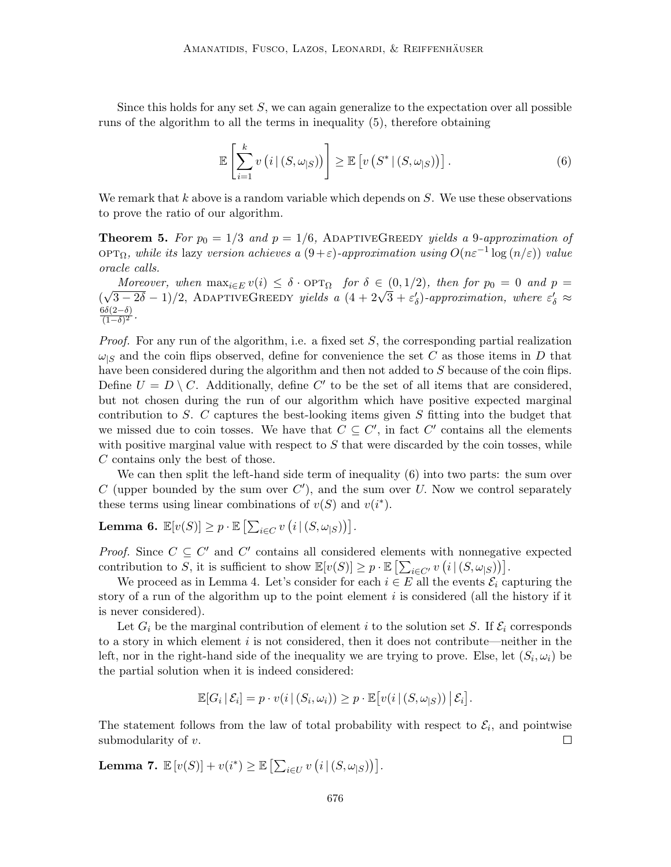Since this holds for any set  $S$ , we can again generalize to the expectation over all possible runs of the algorithm to all the terms in inequality [\(5\)](#page-14-0), therefore obtaining

<span id="page-15-0"></span>
$$
\mathbb{E}\left[\sum_{i=1}^{k} v\left(i \,|\, (S,\omega_{|S})\right)\right] \geq \mathbb{E}\left[v\left(S^* \,|\, (S,\omega_{|S})\right)\right].\tag{6}
$$

We remark that  $k$  above is a random variable which depends on  $S$ . We use these observations to prove the ratio of our algorithm.

<span id="page-15-1"></span>**Theorem 5.** For  $p_0 = 1/3$  and  $p = 1/6$ , ADAPTIVEGREEDY yields a 9-approximation of OPT $\Omega$ , while its lazy version achieves a  $(9+\varepsilon)$ -approximation using  $O(n\varepsilon^{-1} \log(n/\varepsilon))$  value oracle calls.

Moreover, when  $\max_{i \in E} v(i) \leq \delta \cdot \text{OPT}_{\Omega}$  for  $\delta \in (0, 1/2)$ , then for  $p_0 = 0$  and  $p = 0$ ( Moreover, when  $\max_{i \in E} v(i) \leq \delta \cdot \text{OPT}_{\Omega}$  for  $\delta \in (0, 1/2)$ , then for  $p_0 = 0$  and  $p = \sqrt{3-2\delta}-1/2$ , ADAPTIVEGREEDY yields a  $(4+2\sqrt{3}+\varepsilon_0')$ -approximation, where  $\varepsilon_0' \approx$  $6\delta(2-\delta)$  $\frac{50(2-0)}{(1-\delta)^2}.$ 

*Proof.* For any run of the algorithm, i.e. a fixed set  $S$ , the corresponding partial realization  $\omega_{\vert S}$  and the coin flips observed, define for convenience the set C as those items in D that have been considered during the algorithm and then not added to S because of the coin flips. Define  $U = D \setminus C$ . Additionally, define C' to be the set of all items that are considered, but not chosen during the run of our algorithm which have positive expected marginal contribution to S. C captures the best-looking items given  $S$  fitting into the budget that we missed due to coin tosses. We have that  $C \subseteq C'$ , in fact  $C'$  contains all the elements with positive marginal value with respect to  $S$  that were discarded by the coin tosses, while C contains only the best of those.

We can then split the left-hand side term of inequality  $(6)$  into two parts: the sum over C (upper bounded by the sum over  $C'$ ), and the sum over U. Now we control separately these terms using linear combinations of  $v(S)$  and  $v(i^*)$ .

Lemma 6.  $\mathbb{E}[v(S)] \geq p \cdot \mathbb{E}\left[\sum_{i \in C} v\left(i | \left(S, \omega_{|S}\right)\right)\right].$ 

*Proof.* Since  $C \subseteq C'$  and  $C'$  contains all considered elements with nonnegative expected contribution to S, it is sufficient to show  $\mathbb{E}[v(S)] \geq p \cdot \mathbb{E}\left[\sum_{i \in C'} v(i | (S, \omega_{|S}))\right]$ .

We proceed as in [Lemma 4.](#page-10-0) Let's consider for each  $i \in E$  all the events  $\mathcal{E}_i$  capturing the story of a run of the algorithm up to the point element  $i$  is considered (all the history if it is never considered).

Let  $G_i$  be the marginal contribution of element i to the solution set S. If  $\mathcal{E}_i$  corresponds to a story in which element  $i$  is not considered, then it does not contribute—neither in the left, nor in the right-hand side of the inequality we are trying to prove. Else, let  $(S_i, \omega_i)$  be the partial solution when it is indeed considered:

$$
\mathbb{E}[G_i | \mathcal{E}_i] = p \cdot v(i | (S_i, \omega_i)) \geq p \cdot \mathbb{E}[v(i | (S, \omega_{|S})) | \mathcal{E}_i].
$$

The statement follows from the law of total probability with respect to  $\mathcal{E}_i$ , and pointwise submodularity of  $v$ .  $\Box$ 

Lemma 7.  $\mathbb{E}\left[v(S)\right] + v(i^*) \geq \mathbb{E}\left[\sum_{i \in U} v\left(i | (S, \omega_{|S})\right)\right]$ .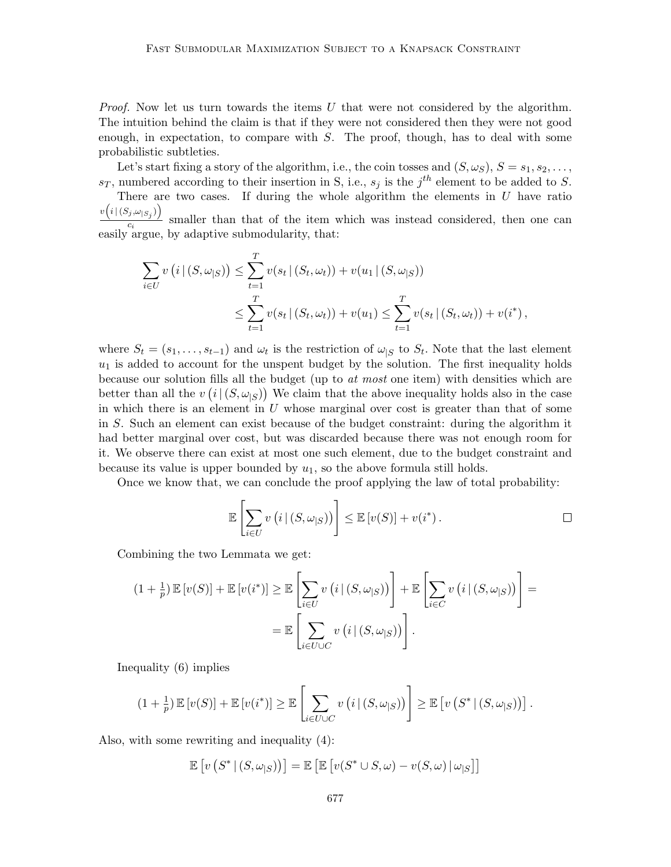*Proof.* Now let us turn towards the items  $U$  that were not considered by the algorithm. The intuition behind the claim is that if they were not considered then they were not good enough, in expectation, to compare with  $S$ . The proof, though, has to deal with some probabilistic subtleties.

Let's start fixing a story of the algorithm, i.e., the coin tosses and  $(S, \omega_S)$ ,  $S = s_1, s_2, \ldots$ ,  $s_T$ , numbered according to their insertion in S, i.e.,  $s_j$  is the j<sup>th</sup> element to be added to S. There are two cases. If during the whole algorithm the elements in  $U$  have ratio

 $v\Bigl(i\,|\,(S_j,\omega_{|S_j})\Bigr)$  $\frac{\sum_{i=1}^{n} f(i)}{\sum_{i=1}^{n} f(i)}$  smaller than that of the item which was instead considered, then one can easily argue, by adaptive submodularity, that:

$$
\sum_{i \in U} v(i | (S, \omega_{|S})) \leq \sum_{t=1}^{T} v(s_t | (S_t, \omega_t)) + v(u_1 | (S, \omega_{|S}))
$$
  

$$
\leq \sum_{t=1}^{T} v(s_t | (S_t, \omega_t)) + v(u_1) \leq \sum_{t=1}^{T} v(s_t | (S_t, \omega_t)) + v(i^*),
$$

where  $S_t = (s_1, \ldots, s_{t-1})$  and  $\omega_t$  is the restriction of  $\omega_{|S}$  to  $S_t$ . Note that the last element  $u_1$  is added to account for the unspent budget by the solution. The first inequality holds because our solution fills all the budget (up to at most one item) with densities which are better than all the  $v(i|(S,\omega_{|S}))$  We claim that the above inequality holds also in the case in which there is an element in  $U$  whose marginal over cost is greater than that of some in S. Such an element can exist because of the budget constraint: during the algorithm it had better marginal over cost, but was discarded because there was not enough room for it. We observe there can exist at most one such element, due to the budget constraint and because its value is upper bounded by  $u_1$ , so the above formula still holds.

Once we know that, we can conclude the proof applying the law of total probability:

$$
\mathbb{E}\left[\sum_{i\in U} v\left(i \,|\, (S,\omega_{|S})\right)\right] \leq \mathbb{E}\left[v(S)\right] + v(i^*)\,.
$$

Combining the two Lemmata we get:

$$
(1 + \frac{1}{p}) \mathbb{E}[v(S)] + \mathbb{E}[v(i^*)] \ge \mathbb{E}\left[\sum_{i \in U} v(i | (S, \omega_{|S}))\right] + \mathbb{E}\left[\sum_{i \in C} v(i | (S, \omega_{|S}))\right] =
$$

$$
= \mathbb{E}\left[\sum_{i \in U \cup C} v(i | (S, \omega_{|S}))\right].
$$

Inequality [\(6\)](#page-15-0) implies

$$
(1+\tfrac{1}{p})\mathbb{E}\left[v(S)\right]+\mathbb{E}\left[v(i^*)\right]\geq \mathbb{E}\left[\sum_{i\in U\cup C}v\left(i\,|\,(S,\omega_{|S})\right)\right]\geq \mathbb{E}\left[v\left(S^*\,|\,(S,\omega_{|S})\right)\right].
$$

Also, with some rewriting and inequality [\(4\)](#page-14-1):

$$
\mathbb{E}\left[v\left(S^* \,|\, (S, \omega_{|S})\right)\right] = \mathbb{E}\left[\mathbb{E}\left[v(S^* \cup S, \omega) - v(S, \omega)\,|\,\omega_{|S}\right]\right]
$$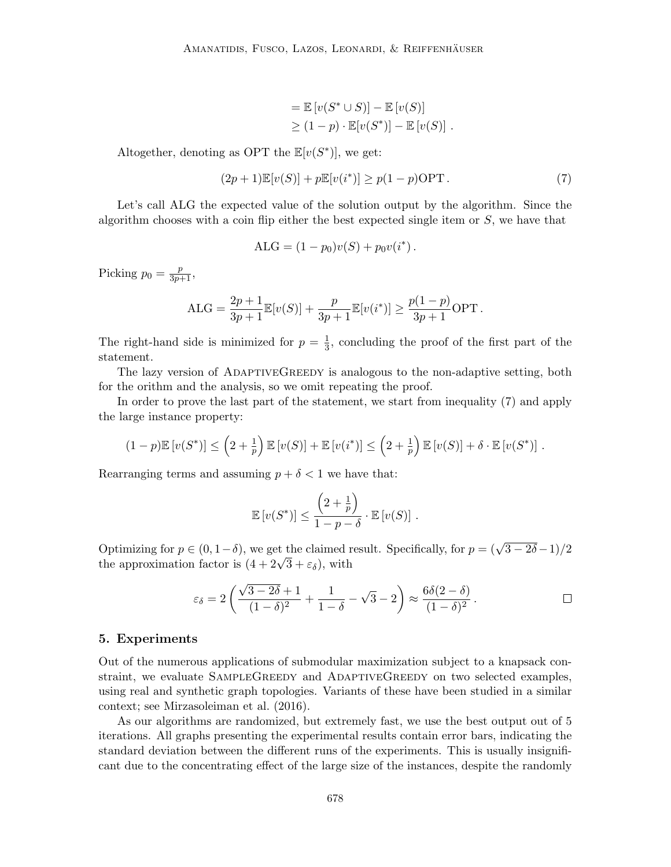$$
= \mathbb{E}\left[v(S^* \cup S)\right] - \mathbb{E}\left[v(S)\right]
$$
  
\n
$$
\geq (1-p) \cdot \mathbb{E}[v(S^*)] - \mathbb{E}\left[v(S)\right].
$$

Altogether, denoting as OPT the  $\mathbb{E}[v(S^*)]$ , we get:

<span id="page-17-1"></span>
$$
(2p+1)\mathbb{E}[v(S)] + p\mathbb{E}[v(i^*)] \ge p(1-p)\text{OPT}.
$$
\n<sup>(7)</sup>

Let's call ALG the expected value of the solution output by the algorithm. Since the algorithm chooses with a coin flip either the best expected single item or  $S$ , we have that

$$
ALG = (1 - p_0)v(S) + p_0v(i^*).
$$

Picking  $p_0 = \frac{p}{3p+1}$ ,

$$
ALG = \frac{2p+1}{3p+1} \mathbb{E}[v(S)] + \frac{p}{3p+1} \mathbb{E}[v(i^*)] \ge \frac{p(1-p)}{3p+1} \text{OPT}.
$$

The right-hand side is minimized for  $p = \frac{1}{3}$  $\frac{1}{3}$ , concluding the proof of the first part of the statement.

The lazy version of ADAPTIVEGREEDY is analogous to the non-adaptive setting, both for the orithm and the analysis, so we omit repeating the proof.

In order to prove the last part of the statement, we start from inequality [\(7\)](#page-17-1) and apply the large instance property:

$$
(1-p)\mathbb{E}\left[v(S^*)\right] \leq \left(2+\frac{1}{p}\right)\mathbb{E}\left[v(S)\right] + \mathbb{E}\left[v(i^*)\right] \leq \left(2+\frac{1}{p}\right)\mathbb{E}\left[v(S)\right] + \delta \cdot \mathbb{E}\left[v(S^*)\right].
$$

Rearranging terms and assuming  $p + \delta < 1$  we have that:

$$
\mathbb{E}\left[v(S^*)\right] \le \frac{\left(2 + \frac{1}{p}\right)}{1 - p - \delta} \cdot \mathbb{E}\left[v(S)\right].
$$

Optimizing for  $p \in (0, 1-\delta)$ , we get the claimed result. Specifically, for  $p = (\sqrt{3-2\delta}-1)/2$ Optimizing for  $p \in (0, 1 - \delta)$ , we get the claimed r<br>the approximation factor is  $(4 + 2\sqrt{3} + \varepsilon_{\delta})$ , with

$$
\varepsilon_{\delta} = 2\left(\frac{\sqrt{3-2\delta}+1}{(1-\delta)^2} + \frac{1}{1-\delta} - \sqrt{3} - 2\right) \approx \frac{6\delta(2-\delta)}{(1-\delta)^2}.
$$

### <span id="page-17-0"></span>5. Experiments

Out of the numerous applications of submodular maximization subject to a knapsack constraint, we evaluate SAMPLEGREEDY and ADAPTIVEGREEDY on two selected examples, using real and synthetic graph topologies. Variants of these have been studied in a similar context; see [Mirzasoleiman et al.](#page-28-5) [\(2016\)](#page-28-5).

As our algorithms are randomized, but extremely fast, we use the best output out of 5 iterations. All graphs presenting the experimental results contain error bars, indicating the standard deviation between the different runs of the experiments. This is usually insignificant due to the concentrating effect of the large size of the instances, despite the randomly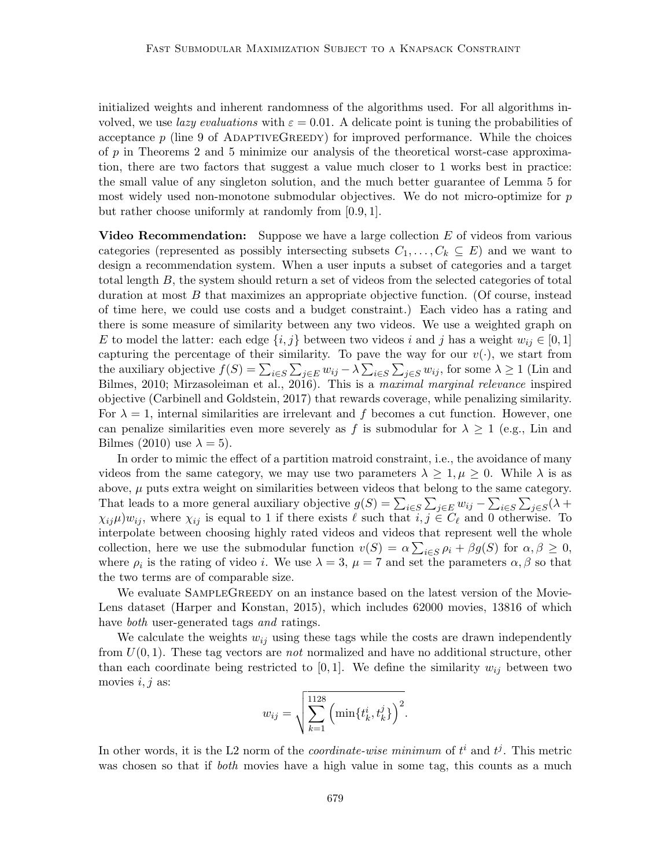initialized weights and inherent randomness of the algorithms used. For all algorithms involved, we use *lazy evaluations* with  $\varepsilon = 0.01$ . A delicate point is tuning the probabilities of acceptance  $p$  (line [9](#page-14-2) of ADAPTIVEGREEDY) for improved performance. While the choices of  $p$  in [Theorems 2](#page-7-1) and [5](#page-15-1) minimize our analysis of the theoretical worst-case approximation, there are two factors that suggest a value much closer to 1 works best in practice: the small value of any singleton solution, and the much better guarantee of [Lemma 5](#page-10-2) for most widely used non-monotone submodular objectives. We do not micro-optimize for  $p$ but rather choose uniformly at randomly from [0.9, 1].

**Video Recommendation:** Suppose we have a large collection  $E$  of videos from various categories (represented as possibly intersecting subsets  $C_1, \ldots, C_k \subseteq E$ ) and we want to design a recommendation system. When a user inputs a subset of categories and a target total length B, the system should return a set of videos from the selected categories of total duration at most B that maximizes an appropriate objective function. (Of course, instead of time here, we could use costs and a budget constraint.) Each video has a rating and there is some measure of similarity between any two videos. We use a weighted graph on E to model the latter: each edge  $\{i, j\}$  between two videos i and j has a weight  $w_{ij} \in [0, 1]$ capturing the percentage of their similarity. To pave the way for our  $v(\cdot)$ , we start from the auxiliary objective  $f(S) = \sum_{i \in S} \sum_{j \in E} w_{ij} - \lambda \sum_{i \in S} \sum_{j \in S} w_{ij}$ , for some  $\lambda \ge 1$  [\(Lin and](#page-27-8) [Bilmes, 2010;](#page-27-8) [Mirzasoleiman et al., 2016\)](#page-28-5). This is a maximal marginal relevance inspired objective [\(Carbinell and Goldstein, 2017\)](#page-24-8) that rewards coverage, while penalizing similarity. For  $\lambda = 1$ , internal similarities are irrelevant and f becomes a cut function. However, one can penalize similarities even more severely as f is submodular for  $\lambda \geq 1$  (e.g., [Lin and](#page-27-8) [Bilmes](#page-27-8) [\(2010\)](#page-27-8) use  $\lambda = 5$ ).

In order to mimic the effect of a partition matroid constraint, i.e., the avoidance of many videos from the same category, we may use two parameters  $\lambda \geq 1, \mu \geq 0$ . While  $\lambda$  is as above,  $\mu$  puts extra weight on similarities between videos that belong to the same category. That leads to a more general auxiliary objective  $g(S) = \sum_{i \in S} \sum_{j \in E} w_{ij} - \sum_{i \in S} \sum_{j \in S} (\lambda +$  $\chi_{ij}\mu\psi_{ij}$ , where  $\chi_{ij}$  is equal to 1 if there exists  $\ell$  such that  $i, j \in C_\ell$  and 0 otherwise. To interpolate between choosing highly rated videos and videos that represent well the whole collection, here we use the submodular function  $v(S) = \alpha \sum_{i \in S} \rho_i + \beta g(S)$  for  $\alpha, \beta \geq 0$ , where  $\rho_i$  is the rating of video i. We use  $\lambda = 3$ ,  $\mu = 7$  and set the parameters  $\alpha, \beta$  so that the two terms are of comparable size.

We evaluate SAMPLEGREEDY on an instance based on the latest version of the [Movie-](https://grouplens.org/datasets/movielens/25m/)[Lens dataset](https://grouplens.org/datasets/movielens/25m/) [\(Harper and Konstan, 2015\)](#page-27-9), which includes 62000 movies, 13816 of which have *both* user-generated tags and ratings.

We calculate the weights  $w_{ij}$  using these tags while the costs are drawn independently from  $U(0, 1)$ . These tag vectors are *not* normalized and have no additional structure, other than each coordinate being restricted to  $[0, 1]$ . We define the similarity  $w_{ij}$  between two movies  $i, j$  as:

$$
w_{ij} = \sqrt{\sum_{k=1}^{1128} \left( \min\{t_k^i, t_k^j\} \right)^2}.
$$

In other words, it is the L2 norm of the *coordinate-wise minimum* of  $t^i$  and  $t^j$ . This metric was chosen so that if *both* movies have a high value in some tag, this counts as a much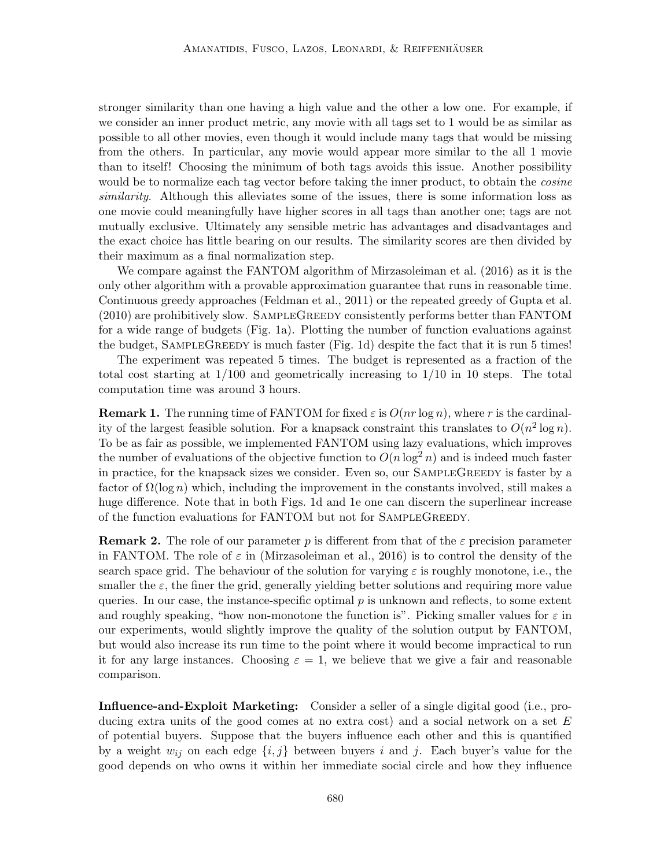stronger similarity than one having a high value and the other a low one. For example, if we consider an inner product metric, any movie with all tags set to 1 would be as similar as possible to all other movies, even though it would include many tags that would be missing from the others. In particular, any movie would appear more similar to the all 1 movie than to itself! Choosing the minimum of both tags avoids this issue. Another possibility would be to normalize each tag vector before taking the inner product, to obtain the *cosine* similarity. Although this alleviates some of the issues, there is some information loss as one movie could meaningfully have higher scores in all tags than another one; tags are not mutually exclusive. Ultimately any sensible metric has advantages and disadvantages and the exact choice has little bearing on our results. The similarity scores are then divided by their maximum as a final normalization step.

We compare against the FANTOM algorithm of [Mirzasoleiman et al.](#page-28-5) [\(2016\)](#page-28-5) as it is the only other algorithm with a provable approximation guarantee that runs in reasonable time. Continuous greedy approaches [\(Feldman et al., 2011\)](#page-26-5) or the repeated greedy of [Gupta et al.](#page-26-7) [\(2010\)](#page-26-7) are prohibitively slow. SampleGreedy consistently performs better than FANTOM for a wide range of budgets [\(Fig. 1a\)](#page-20-0). Plotting the number of function evaluations against the budget, SAMPLEGREEDY is much faster [\(Fig. 1d\)](#page-20-0) despite the fact that it is run 5 times!

The experiment was repeated 5 times. The budget is represented as a fraction of the total cost starting at 1/100 and geometrically increasing to 1/10 in 10 steps. The total computation time was around 3 hours.

<span id="page-19-0"></span>**Remark 1.** The running time of FANTOM for fixed  $\varepsilon$  is  $O(nr \log n)$ , where r is the cardinality of the largest feasible solution. For a knapsack constraint this translates to  $O(n^2 \log n)$ . To be as fair as possible, we implemented FANTOM using lazy evaluations, which improves the number of evaluations of the objective function to  $O(n \log^2 n)$  and is indeed much faster in practice, for the knapsack sizes we consider. Even so, our SampleGreedy is faster by a factor of  $\Omega(\log n)$  which, including the improvement in the constants involved, still makes a huge difference. Note that in both [Figs. 1d](#page-20-0) and [1e](#page-20-0) one can discern the superlinear increase of the function evaluations for FANTOM but not for SampleGreedy.

**Remark 2.** The role of our parameter p is different from that of the  $\varepsilon$  precision parameter in FANTOM. The role of  $\varepsilon$  in [\(Mirzasoleiman et al., 2016\)](#page-28-5) is to control the density of the search space grid. The behaviour of the solution for varying  $\varepsilon$  is roughly monotone, i.e., the smaller the  $\varepsilon$ , the finer the grid, generally yielding better solutions and requiring more value queries. In our case, the instance-specific optimal  $p$  is unknown and reflects, to some extent and roughly speaking, "how non-monotone the function is". Picking smaller values for  $\varepsilon$  in our experiments, would slightly improve the quality of the solution output by FANTOM, but would also increase its run time to the point where it would become impractical to run it for any large instances. Choosing  $\varepsilon = 1$ , we believe that we give a fair and reasonable comparison.

Influence-and-Exploit Marketing: Consider a seller of a single digital good (i.e., producing extra units of the good comes at no extra cost) and a social network on a set  $E$ of potential buyers. Suppose that the buyers influence each other and this is quantified by a weight  $w_{ij}$  on each edge  $\{i, j\}$  between buyers i and j. Each buyer's value for the good depends on who owns it within her immediate social circle and how they influence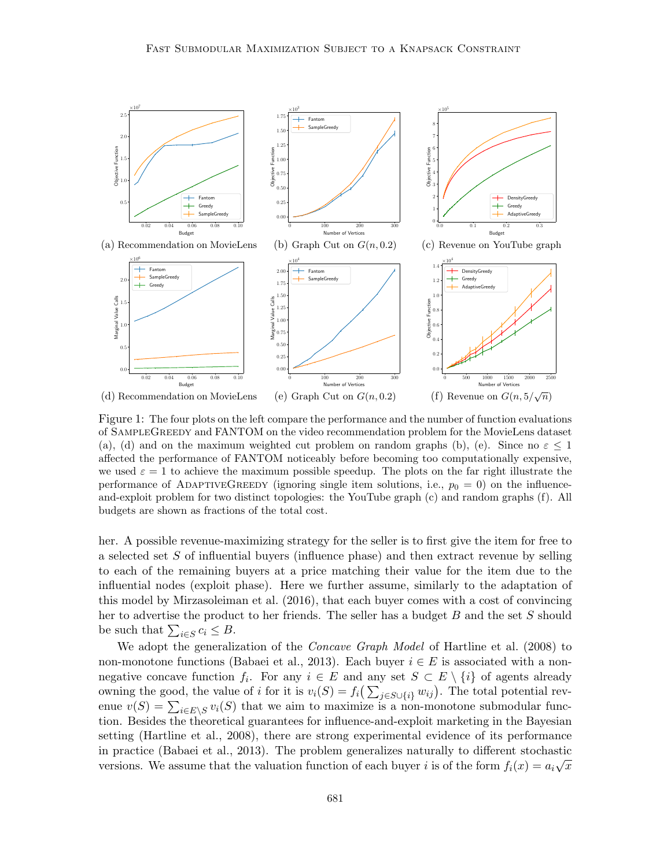<span id="page-20-0"></span>

Figure 1: The four plots on the left compare the performance and the number of function evaluations of SampleGreedy and FANTOM on the video recommendation problem for the MovieLens dataset (a), (d) and on the maximum weighted cut problem on random graphs (b), (e). Since no  $\varepsilon \leq 1$ affected the performance of FANTOM noticeably before becoming too computationally expensive, we used  $\varepsilon = 1$  to achieve the maximum possible speedup. The plots on the far right illustrate the performance of ADAPTIVEGREEDY (ignoring single item solutions, i.e.,  $p_0 = 0$ ) on the influenceand-exploit problem for two distinct topologies: the YouTube graph (c) and random graphs (f). All budgets are shown as fractions of the total cost.

her. A possible revenue-maximizing strategy for the seller is to first give the item for free to a selected set S of influential buyers (influence phase) and then extract revenue by selling to each of the remaining buyers at a price matching their value for the item due to the influential nodes (exploit phase). Here we further assume, similarly to the adaptation of this model by [Mirzasoleiman et al.](#page-28-5) [\(2016\)](#page-28-5), that each buyer comes with a cost of convincing her to advertise the product to her friends. The seller has a budget  $B$  and the set  $S$  should be such that  $\sum_{i \in S} c_i \leq B$ .

We adopt the generalization of the *Concave Graph Model* of [Hartline et al.](#page-27-10) [\(2008\)](#page-27-10) to non-monotone functions [\(Babaei et al., 2013\)](#page-24-0). Each buyer  $i \in E$  is associated with a nonnegative concave function  $f_i$ . For any  $i \in E$  and any set  $S \subset E \setminus \{i\}$  of agents already owning the good, the value of i for it is  $v_i(S) = f_i(\sum_{j \in S \cup \{i\}} w_{ij})$ . The total potential revenue  $v(S) = \sum_{i \in E \setminus S} v_i(S)$  that we aim to maximize is a non-monotone submodular function. Besides the theoretical guarantees for influence-and-exploit marketing in the Bayesian setting [\(Hartline et al., 2008\)](#page-27-10), there are strong experimental evidence of its performance in practice [\(Babaei et al., 2013\)](#page-24-0). The problem generalizes naturally to different stochastic in practice (Babaer et al., 2015). The problem generalizes haturally to different stochastic versions. We assume that the valuation function of each buyer i is of the form  $f_i(x) = a_i \sqrt{x}$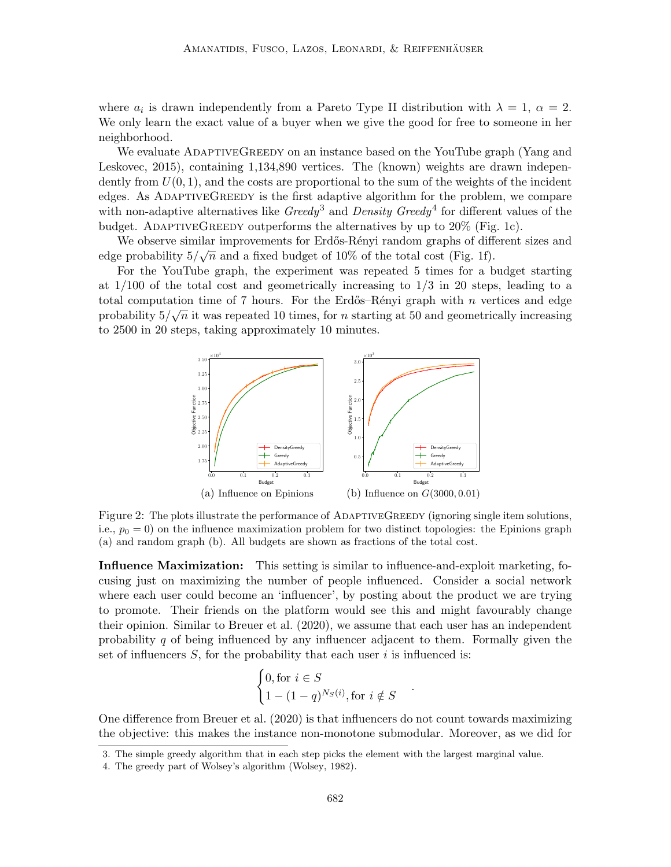where  $a_i$  is drawn independently from a Pareto Type II distribution with  $\lambda = 1, \alpha = 2$ . We only learn the exact value of a buyer when we give the good for free to someone in her neighborhood.

We evaluate ADAPTIVEGREEDY on an instance based on the [YouTube graph](https://snap.stanford.edu/data/com-Youtube.html) [\(Yang and](#page-29-2) [Leskovec, 2015\)](#page-29-2), containing 1,134,890 vertices. The (known) weights are drawn independently from  $U(0, 1)$ , and the costs are proportional to the sum of the weights of the incident edges. As AdaptiveGreedy is the first adaptive algorithm for the problem, we compare with non-adaptive alternatives like  $Greedy^3$  $Greedy^3$  and  $Density~Greedy^4$  $Density~Greedy^4$  for different values of the budget. ADAPTIVEGREEDY outperforms the alternatives by up to  $20\%$  [\(Fig. 1c\)](#page-20-0).

We observe similar improvements for Erdős-Rényi random graphs of different sizes and edge probability  $5/\sqrt{n}$  and a fixed budget of 10% of the total cost [\(Fig. 1f\)](#page-20-0).

<span id="page-21-2"></span>For the YouTube graph, the experiment was repeated 5 times for a budget starting at  $1/100$  of the total cost and geometrically increasing to  $1/3$  in 20 steps, leading to a total computation time of 7 hours. For the Erdős–Rényi graph with *n* vertices and edge probability  $5/\sqrt{n}$  it was repeated 10 times, for n starting at 50 and geometrically increasing to 2500 in 20 steps, taking approximately 10 minutes.



Figure 2: The plots illustrate the performance of ADAPTIVEGREEDY (ignoring single item solutions, i.e.,  $p_0 = 0$ ) on the influence maximization problem for two distinct topologies: the Epinions graph (a) and random graph (b). All budgets are shown as fractions of the total cost.

Influence Maximization: This setting is similar to influence-and-exploit marketing, focusing just on maximizing the number of people influenced. Consider a social network where each user could become an 'influencer', by posting about the product we are trying to promote. Their friends on the platform would see this and might favourably change their opinion. Similar to [Breuer et al.](#page-24-9) [\(2020\)](#page-24-9), we assume that each user has an independent probability q of being influenced by any influencer adjacent to them. Formally given the set of influencers  $S$ , for the probability that each user i is influenced is:

$$
\begin{cases} 0, \text{for } i \in S \\ 1 - (1 - q)^{N_S(i)}, \text{for } i \notin S \end{cases}
$$

.

One difference from [Breuer et al.](#page-24-9) [\(2020\)](#page-24-9) is that influencers do not count towards maximizing the objective: this makes the instance non-monotone submodular. Moreover, as we did for

<span id="page-21-0"></span><sup>3.</sup> The simple greedy algorithm that in each step picks the element with the largest marginal value.

<span id="page-21-1"></span><sup>4.</sup> The greedy part of Wolsey's algorithm [\(Wolsey, 1982\)](#page-29-0).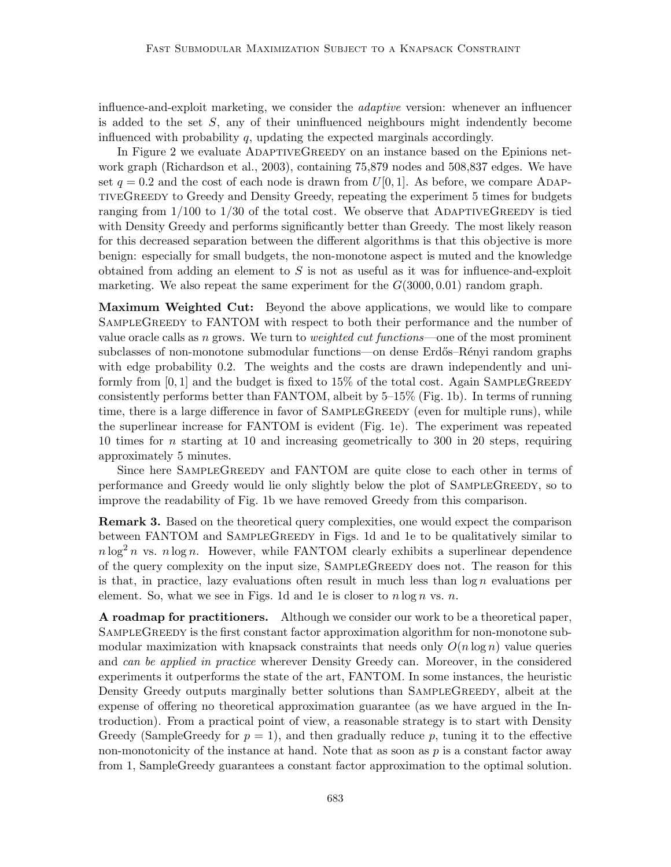influence-and-exploit marketing, we consider the adaptive version: whenever an influencer is added to the set  $S$ , any of their uninfluenced neighbours might indendently become influenced with probability  $q$ , updating the expected marginals accordingly.

In [Figure 2](#page-21-2) we evaluate ADAPTIVEGREEDY on an instance based on the [Epinions net](https://snap.stanford.edu/data/soc-Epinions1.html)[work graph](https://snap.stanford.edu/data/soc-Epinions1.html) [\(Richardson et al., 2003\)](#page-28-10), containing 75,879 nodes and 508,837 edges. We have set  $q = 0.2$  and the cost of each node is drawn from  $U[0, 1]$ . As before, we compare ADAPtiveGreedy to Greedy and Density Greedy, repeating the experiment 5 times for budgets ranging from  $1/100$  to  $1/30$  of the total cost. We observe that ADAPTIVEGREEDY is tied with Density Greedy and performs significantly better than Greedy. The most likely reason for this decreased separation between the different algorithms is that this objective is more benign: especially for small budgets, the non-monotone aspect is muted and the knowledge obtained from adding an element to  $S$  is not as useful as it was for influence-and-exploit marketing. We also repeat the same experiment for the  $G(3000, 0.01)$  random graph.

Maximum Weighted Cut: Beyond the above applications, we would like to compare SAMPLEGREEDY to FANTOM with respect to both their performance and the number of value oracle calls as n grows. We turn to *weighted cut functions*—one of the most prominent subclasses of non-monotone submodular functions—on dense Erdős–Rényi random graphs with edge probability 0.2. The weights and the costs are drawn independently and uniformly from  $[0,1]$  and the budget is fixed to 15% of the total cost. Again SAMPLEGREEDY consistently performs better than FANTOM, albeit by 5–15% [\(Fig. 1b\)](#page-20-0). In terms of running time, there is a large difference in favor of SAMPLEGREEDY (even for multiple runs), while the superlinear increase for FANTOM is evident [\(Fig. 1e\)](#page-20-0). The experiment was repeated 10 times for n starting at 10 and increasing geometrically to 300 in 20 steps, requiring approximately 5 minutes.

Since here SAMPLEGREEDY and FANTOM are quite close to each other in terms of performance and Greedy would lie only slightly below the plot of SampleGreedy, so to improve the readability of [Fig. 1b](#page-20-0) we have removed Greedy from this comparison.

**Remark 3.** Based on the theoretical query complexities, one would expect the comparison between FANTOM and SAMPLEGREEDY in [Figs. 1d](#page-20-0) and [1e](#page-20-0) to be qualitatively similar to  $n \log^2 n$  vs.  $n \log n$ . However, while FANTOM clearly exhibits a superlinear dependence of the query complexity on the input size, SampleGreedy does not. The reason for this is that, in practice, lazy evaluations often result in much less than  $\log n$  evaluations per element. So, what we see in [Figs. 1d](#page-20-0) and [1e](#page-20-0) is closer to  $n \log n$  vs. n.

A roadmap for practitioners. Although we consider our work to be a theoretical paper, SAMPLEGREEDY is the first constant factor approximation algorithm for non-monotone submodular maximization with knapsack constraints that needs only  $O(n \log n)$  value queries and can be applied in practice wherever Density Greedy can. Moreover, in the considered experiments it outperforms the state of the art, FANTOM. In some instances, the heuristic Density Greedy outputs marginally better solutions than SAMPLEGREEDY, albeit at the expense of offering no theoretical approximation guarantee (as we have argued in the Introduction). From a practical point of view, a reasonable strategy is to start with Density Greedy (SampleGreedy for  $p = 1$ ), and then gradually reduce p, tuning it to the effective non-monotonicity of the instance at hand. Note that as soon as  $p$  is a constant factor away from 1, SampleGreedy guarantees a constant factor approximation to the optimal solution.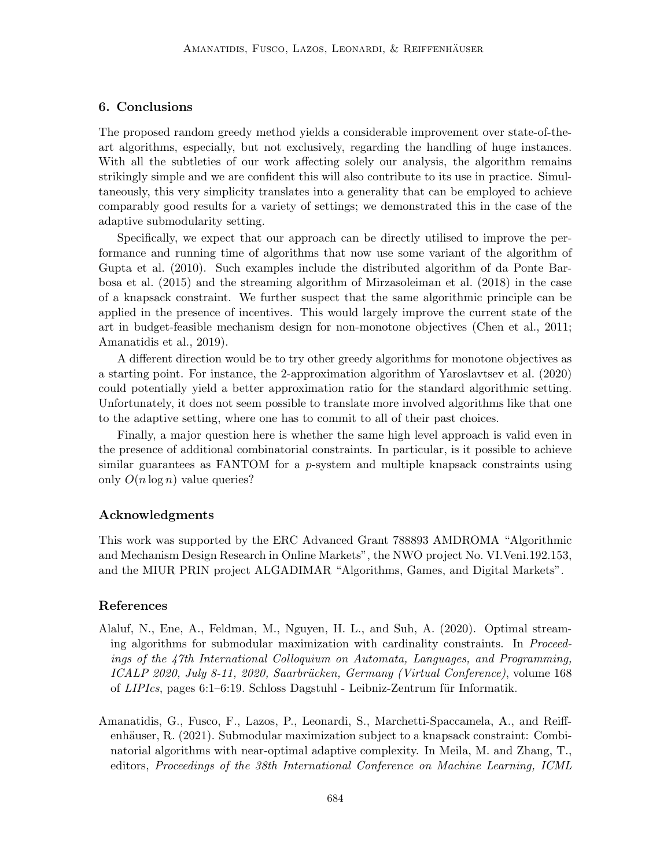# 6. Conclusions

The proposed random greedy method yields a considerable improvement over state-of-theart algorithms, especially, but not exclusively, regarding the handling of huge instances. With all the subtleties of our work affecting solely our analysis, the algorithm remains strikingly simple and we are confident this will also contribute to its use in practice. Simultaneously, this very simplicity translates into a generality that can be employed to achieve comparably good results for a variety of settings; we demonstrated this in the case of the adaptive submodularity setting.

Specifically, we expect that our approach can be directly utilised to improve the performance and running time of algorithms that now use some variant of the algorithm of [Gupta et al.](#page-26-7) [\(2010\)](#page-26-7). Such examples include the distributed algorithm of [da Ponte Bar](#page-25-5)[bosa et al.](#page-25-5) [\(2015\)](#page-25-5) and the streaming algorithm of [Mirzasoleiman et al.](#page-28-11) [\(2018\)](#page-28-11) in the case of a knapsack constraint. We further suspect that the same algorithmic principle can be applied in the presence of incentives. This would largely improve the current state of the art in budget-feasible mechanism design for non-monotone objectives [\(Chen et al., 2011;](#page-25-11) [Amanatidis et al., 2019\)](#page-24-10).

A different direction would be to try other greedy algorithms for monotone objectives as a starting point. For instance, the 2-approximation algorithm of [Yaroslavtsev et al.](#page-29-1) [\(2020\)](#page-29-1) could potentially yield a better approximation ratio for the standard algorithmic setting. Unfortunately, it does not seem possible to translate more involved algorithms like that one to the adaptive setting, where one has to commit to all of their past choices.

Finally, a major question here is whether the same high level approach is valid even in the presence of additional combinatorial constraints. In particular, is it possible to achieve similar guarantees as FANTOM for a  $p$ -system and multiple knapsack constraints using only  $O(n \log n)$  value queries?

#### Acknowledgments

This work was supported by the ERC Advanced Grant 788893 AMDROMA "Algorithmic and Mechanism Design Research in Online Markets", the NWO project No. VI.Veni.192.153, and the MIUR PRIN project ALGADIMAR "Algorithms, Games, and Digital Markets".

#### References

- <span id="page-23-0"></span>Alaluf, N., Ene, A., Feldman, M., Nguyen, H. L., and Suh, A. (2020). Optimal streaming algorithms for submodular maximization with cardinality constraints. In Proceedings of the 47th International Colloquium on Automata, Languages, and Programming, ICALP 2020, July 8-11, 2020, Saarbrücken, Germany (Virtual Conference), volume 168 of  $LIPIs$ , pages 6:1–6:19. Schloss Dagstuhl - Leibniz-Zentrum für Informatik.
- <span id="page-23-1"></span>Amanatidis, G., Fusco, F., Lazos, P., Leonardi, S., Marchetti-Spaccamela, A., and Reiffenhäuser, R.  $(2021)$ . Submodular maximization subject to a knapsack constraint: Combinatorial algorithms with near-optimal adaptive complexity. In Meila, M. and Zhang, T., editors, Proceedings of the 38th International Conference on Machine Learning, ICML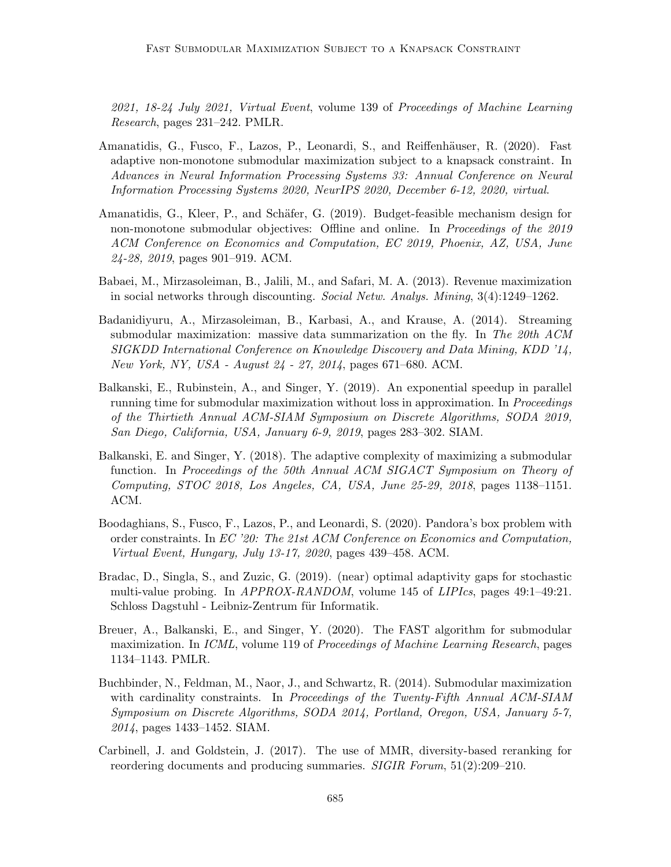2021, 18-24 July 2021, Virtual Event, volume 139 of Proceedings of Machine Learning Research, pages 231–242. PMLR.

- <span id="page-24-5"></span>Amanatidis, G., Fusco, F., Lazos, P., Leonardi, S., and Reiffenhäuser, R. (2020). Fast adaptive non-monotone submodular maximization subject to a knapsack constraint. In Advances in Neural Information Processing Systems 33: Annual Conference on Neural Information Processing Systems 2020, NeurIPS 2020, December 6-12, 2020, virtual.
- <span id="page-24-10"></span>Amanatidis, G., Kleer, P., and Schäfer, G. (2019). Budget-feasible mechanism design for non-monotone submodular objectives: Offline and online. In Proceedings of the 2019 ACM Conference on Economics and Computation, EC 2019, Phoenix, AZ, USA, June 24-28, 2019, pages 901–919. ACM.
- <span id="page-24-0"></span>Babaei, M., Mirzasoleiman, B., Jalili, M., and Safari, M. A. (2013). Revenue maximization in social networks through discounting. Social Netw. Analys. Mining, 3(4):1249–1262.
- <span id="page-24-2"></span>Badanidiyuru, A., Mirzasoleiman, B., Karbasi, A., and Krause, A. (2014). Streaming submodular maximization: massive data summarization on the fly. In The 20th ACM SIGKDD International Conference on Knowledge Discovery and Data Mining, KDD '14, New York, NY, USA - August 24 - 27, 2014, pages 671–680. ACM.
- <span id="page-24-7"></span>Balkanski, E., Rubinstein, A., and Singer, Y. (2019). An exponential speedup in parallel running time for submodular maximization without loss in approximation. In Proceedings of the Thirtieth Annual ACM-SIAM Symposium on Discrete Algorithms, SODA 2019, San Diego, California, USA, January 6-9, 2019, pages 283–302. SIAM.
- <span id="page-24-6"></span>Balkanski, E. and Singer, Y. (2018). The adaptive complexity of maximizing a submodular function. In Proceedings of the 50th Annual ACM SIGACT Symposium on Theory of Computing, STOC 2018, Los Angeles, CA, USA, June 25-29, 2018, pages 1138–1151. ACM.
- <span id="page-24-1"></span>Boodaghians, S., Fusco, F., Lazos, P., and Leonardi, S. (2020). Pandora's box problem with order constraints. In EC '20: The 21st ACM Conference on Economics and Computation, Virtual Event, Hungary, July 13-17, 2020, pages 439–458. ACM.
- <span id="page-24-3"></span>Bradac, D., Singla, S., and Zuzic, G. (2019). (near) optimal adaptivity gaps for stochastic multi-value probing. In APPROX-RANDOM, volume 145 of LIPIcs, pages 49:1–49:21. Schloss Dagstuhl - Leibniz-Zentrum für Informatik.
- <span id="page-24-9"></span>Breuer, A., Balkanski, E., and Singer, Y. (2020). The FAST algorithm for submodular maximization. In ICML, volume 119 of Proceedings of Machine Learning Research, pages 1134–1143. PMLR.
- <span id="page-24-4"></span>Buchbinder, N., Feldman, M., Naor, J., and Schwartz, R. (2014). Submodular maximization with cardinality constraints. In Proceedings of the Twenty-Fifth Annual ACM-SIAM Symposium on Discrete Algorithms, SODA 2014, Portland, Oregon, USA, January 5-7, 2014, pages 1433–1452. SIAM.
- <span id="page-24-8"></span>Carbinell, J. and Goldstein, J. (2017). The use of MMR, diversity-based reranking for reordering documents and producing summaries. SIGIR Forum, 51(2):209–210.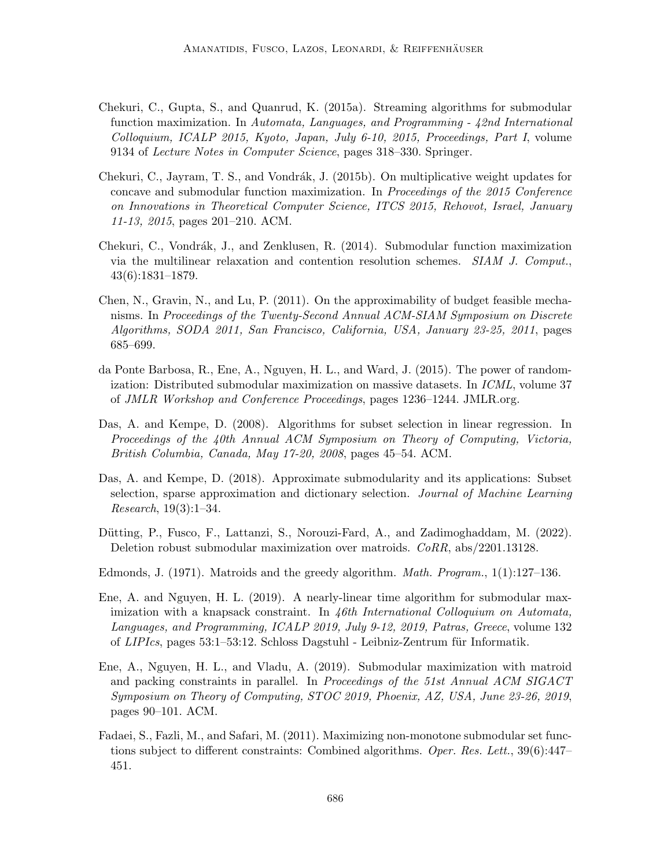- <span id="page-25-4"></span>Chekuri, C., Gupta, S., and Quanrud, K. (2015a). Streaming algorithms for submodular function maximization. In Automata, Languages, and Programming - 42nd International Colloquium, ICALP 2015, Kyoto, Japan, July 6-10, 2015, Proceedings, Part I, volume 9134 of Lecture Notes in Computer Science, pages 318–330. Springer.
- <span id="page-25-9"></span>Chekuri, C., Jayram, T. S., and Vondrák, J. (2015b). On multiplicative weight updates for concave and submodular function maximization. In Proceedings of the 2015 Conference on Innovations in Theoretical Computer Science, ITCS 2015, Rehovot, Israel, January 11-13, 2015, pages 201–210. ACM.
- <span id="page-25-8"></span>Chekuri, C., Vondrák, J., and Zenklusen, R. (2014). Submodular function maximization via the multilinear relaxation and contention resolution schemes. SIAM J. Comput., 43(6):1831–1879.
- <span id="page-25-11"></span>Chen, N., Gravin, N., and Lu, P. (2011). On the approximability of budget feasible mechanisms. In Proceedings of the Twenty-Second Annual ACM-SIAM Symposium on Discrete Algorithms, SODA 2011, San Francisco, California, USA, January 23-25, 2011, pages 685–699.
- <span id="page-25-5"></span>da Ponte Barbosa, R., Ene, A., Nguyen, H. L., and Ward, J. (2015). The power of randomization: Distributed submodular maximization on massive datasets. In ICML, volume 37 of JMLR Workshop and Conference Proceedings, pages 1236–1244. JMLR.org.
- <span id="page-25-1"></span>Das, A. and Kempe, D. (2008). Algorithms for subset selection in linear regression. In Proceedings of the 40th Annual ACM Symposium on Theory of Computing, Victoria, British Columbia, Canada, May 17-20, 2008, pages 45–54. ACM.
- <span id="page-25-2"></span>Das, A. and Kempe, D. (2018). Approximate submodularity and its applications: Subset selection, sparse approximation and dictionary selection. Journal of Machine Learning Research, 19(3):1–34.
- <span id="page-25-3"></span>Dütting, P., Fusco, F., Lattanzi, S., Norouzi-Fard, A., and Zadimoghaddam, M. (2022). Deletion robust submodular maximization over matroids. CoRR, abs/2201.13128.
- <span id="page-25-0"></span>Edmonds, J. (1971). Matroids and the greedy algorithm. Math. Program., 1(1):127–136.
- <span id="page-25-6"></span>Ene, A. and Nguyen, H. L. (2019). A nearly-linear time algorithm for submodular maximization with a knapsack constraint. In 46th International Colloquium on Automata, Languages, and Programming, ICALP 2019, July 9-12, 2019, Patras, Greece, volume 132 of  $LIPIs$ , pages 53:1–53:12. Schloss Dagstuhl - Leibniz-Zentrum für Informatik.
- <span id="page-25-10"></span>Ene, A., Nguyen, H. L., and Vladu, A. (2019). Submodular maximization with matroid and packing constraints in parallel. In Proceedings of the 51st Annual ACM SIGACT Symposium on Theory of Computing, STOC 2019, Phoenix, AZ, USA, June 23-26, 2019, pages 90–101. ACM.
- <span id="page-25-7"></span>Fadaei, S., Fazli, M., and Safari, M. (2011). Maximizing non-monotone submodular set functions subject to different constraints: Combined algorithms. Oper. Res. Lett., 39(6):447-451.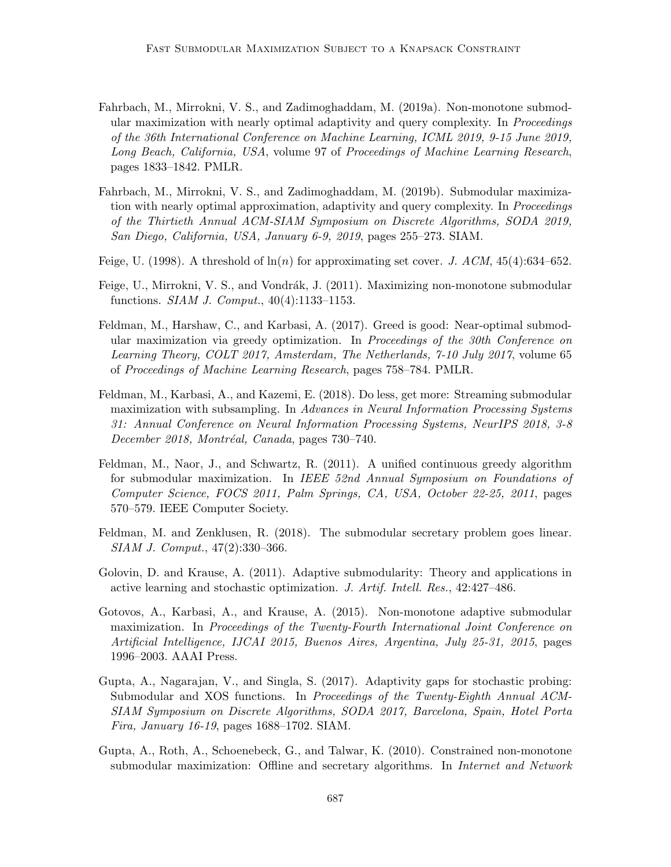- <span id="page-26-10"></span>Fahrbach, M., Mirrokni, V. S., and Zadimoghaddam, M. (2019a). Non-monotone submodular maximization with nearly optimal adaptivity and query complexity. In Proceedings of the 36th International Conference on Machine Learning, ICML 2019, 9-15 June 2019, Long Beach, California, USA, volume 97 of Proceedings of Machine Learning Research, pages 1833–1842. PMLR.
- <span id="page-26-9"></span>Fahrbach, M., Mirrokni, V. S., and Zadimoghaddam, M. (2019b). Submodular maximization with nearly optimal approximation, adaptivity and query complexity. In Proceedings of the Thirtieth Annual ACM-SIAM Symposium on Discrete Algorithms, SODA 2019, San Diego, California, USA, January 6-9, 2019, pages 255–273. SIAM.
- <span id="page-26-0"></span>Feige, U. (1998). A threshold of  $\ln(n)$  for approximating set cover. J. ACM, 45(4):634–652.
- <span id="page-26-11"></span>Feige, U., Mirrokni, V. S., and Vondrák, J. (2011). Maximizing non-monotone submodular functions. SIAM J. Comput., 40(4):1133–1153.
- <span id="page-26-6"></span>Feldman, M., Harshaw, C., and Karbasi, A. (2017). Greed is good: Near-optimal submodular maximization via greedy optimization. In Proceedings of the 30th Conference on Learning Theory, COLT 2017, Amsterdam, The Netherlands, 7-10 July 2017, volume 65 of Proceedings of Machine Learning Research, pages 758–784. PMLR.
- <span id="page-26-1"></span>Feldman, M., Karbasi, A., and Kazemi, E. (2018). Do less, get more: Streaming submodular maximization with subsampling. In Advances in Neural Information Processing Systems 31: Annual Conference on Neural Information Processing Systems, NeurIPS 2018, 3-8 December 2018, Montréal, Canada, pages 730–740.
- <span id="page-26-5"></span>Feldman, M., Naor, J., and Schwartz, R. (2011). A unified continuous greedy algorithm for submodular maximization. In IEEE 52nd Annual Symposium on Foundations of Computer Science, FOCS 2011, Palm Springs, CA, USA, October 22-25, 2011, pages 570–579. IEEE Computer Society.
- <span id="page-26-8"></span>Feldman, M. and Zenklusen, R. (2018). The submodular secretary problem goes linear. SIAM J. Comput., 47(2):330–366.
- <span id="page-26-2"></span>Golovin, D. and Krause, A. (2011). Adaptive submodularity: Theory and applications in active learning and stochastic optimization. J. Artif. Intell. Res., 42:427–486.
- <span id="page-26-3"></span>Gotovos, A., Karbasi, A., and Krause, A. (2015). Non-monotone adaptive submodular maximization. In Proceedings of the Twenty-Fourth International Joint Conference on Artificial Intelligence, IJCAI 2015, Buenos Aires, Argentina, July 25-31, 2015, pages 1996–2003. AAAI Press.
- <span id="page-26-4"></span>Gupta, A., Nagarajan, V., and Singla, S. (2017). Adaptivity gaps for stochastic probing: Submodular and XOS functions. In Proceedings of the Twenty-Eighth Annual ACM-SIAM Symposium on Discrete Algorithms, SODA 2017, Barcelona, Spain, Hotel Porta Fira, January 16-19, pages 1688–1702. SIAM.
- <span id="page-26-7"></span>Gupta, A., Roth, A., Schoenebeck, G., and Talwar, K. (2010). Constrained non-monotone submodular maximization: Offline and secretary algorithms. In Internet and Network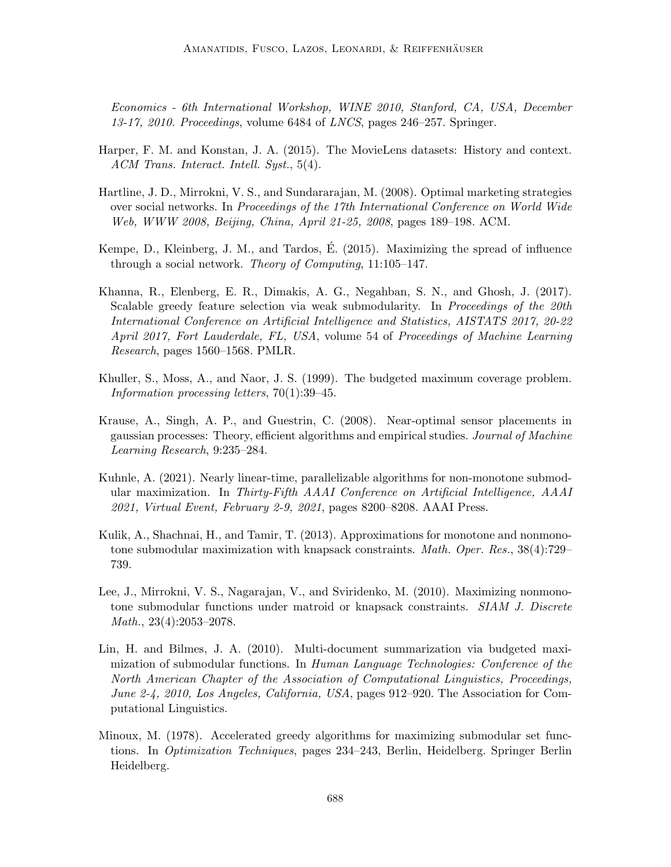Economics - 6th International Workshop, WINE 2010, Stanford, CA, USA, December 13-17, 2010. Proceedings, volume 6484 of LNCS, pages 246–257. Springer.

- <span id="page-27-9"></span>Harper, F. M. and Konstan, J. A. (2015). The MovieLens datasets: History and context. ACM Trans. Interact. Intell. Syst., 5(4).
- <span id="page-27-10"></span>Hartline, J. D., Mirrokni, V. S., and Sundararajan, M. (2008). Optimal marketing strategies over social networks. In Proceedings of the 17th International Conference on World Wide Web, WWW 2008, Beijing, China, April 21-25, 2008, pages 189–198. ACM.
- <span id="page-27-1"></span>Kempe, D., Kleinberg, J. M., and Tardos, E.  $(2015)$ . Maximizing the spread of influence through a social network. Theory of Computing, 11:105–147.
- <span id="page-27-0"></span>Khanna, R., Elenberg, E. R., Dimakis, A. G., Negahban, S. N., and Ghosh, J. (2017). Scalable greedy feature selection via weak submodularity. In Proceedings of the 20th International Conference on Artificial Intelligence and Statistics, AISTATS 2017, 20-22 April 2017, Fort Lauderdale, FL, USA, volume 54 of Proceedings of Machine Learning Research, pages 1560–1568. PMLR.
- <span id="page-27-4"></span>Khuller, S., Moss, A., and Naor, J. S. (1999). The budgeted maximum coverage problem. Information processing letters, 70(1):39–45.
- <span id="page-27-7"></span>Krause, A., Singh, A. P., and Guestrin, C. (2008). Near-optimal sensor placements in gaussian processes: Theory, efficient algorithms and empirical studies. Journal of Machine Learning Research, 9:235–284.
- <span id="page-27-2"></span>Kuhnle, A. (2021). Nearly linear-time, parallelizable algorithms for non-monotone submodular maximization. In Thirty-Fifth AAAI Conference on Artificial Intelligence, AAAI 2021, Virtual Event, February 2-9, 2021, pages 8200–8208. AAAI Press.
- <span id="page-27-6"></span>Kulik, A., Shachnai, H., and Tamir, T. (2013). Approximations for monotone and nonmonotone submodular maximization with knapsack constraints. Math. Oper. Res., 38(4):729– 739.
- <span id="page-27-5"></span>Lee, J., Mirrokni, V. S., Nagarajan, V., and Sviridenko, M. (2010). Maximizing nonmonotone submodular functions under matroid or knapsack constraints. SIAM J. Discrete Math., 23(4):2053–2078.
- <span id="page-27-8"></span>Lin, H. and Bilmes, J. A. (2010). Multi-document summarization via budgeted maximization of submodular functions. In Human Language Technologies: Conference of the North American Chapter of the Association of Computational Linguistics, Proceedings, June 2-4, 2010, Los Angeles, California, USA, pages 912–920. The Association for Computational Linguistics.
- <span id="page-27-3"></span>Minoux, M. (1978). Accelerated greedy algorithms for maximizing submodular set functions. In Optimization Techniques, pages 234–243, Berlin, Heidelberg. Springer Berlin Heidelberg.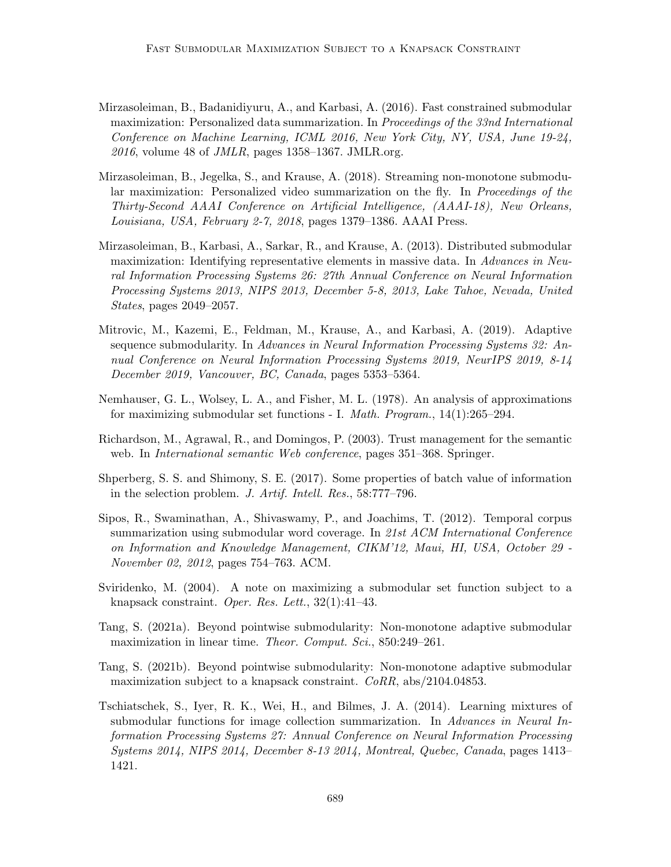- <span id="page-28-5"></span>Mirzasoleiman, B., Badanidiyuru, A., and Karbasi, A. (2016). Fast constrained submodular maximization: Personalized data summarization. In Proceedings of the 33nd International Conference on Machine Learning, ICML 2016, New York City, NY, USA, June 19-24,  $2016$ , volume 48 of *JMLR*, pages 1358–1367. JMLR.org.
- <span id="page-28-11"></span>Mirzasoleiman, B., Jegelka, S., and Krause, A. (2018). Streaming non-monotone submodular maximization: Personalized video summarization on the fly. In *Proceedings of the* Thirty-Second AAAI Conference on Artificial Intelligence, (AAAI-18), New Orleans, Louisiana, USA, February 2-7, 2018, pages 1379–1386. AAAI Press.
- <span id="page-28-2"></span>Mirzasoleiman, B., Karbasi, A., Sarkar, R., and Krause, A. (2013). Distributed submodular maximization: Identifying representative elements in massive data. In Advances in Neural Information Processing Systems 26: 27th Annual Conference on Neural Information Processing Systems 2013, NIPS 2013, December 5-8, 2013, Lake Tahoe, Nevada, United States, pages 2049–2057.
- <span id="page-28-6"></span>Mitrovic, M., Kazemi, E., Feldman, M., Krause, A., and Karbasi, A. (2019). Adaptive sequence submodularity. In Advances in Neural Information Processing Systems 32: Annual Conference on Neural Information Processing Systems 2019, NeurIPS 2019, 8-14 December 2019, Vancouver, BC, Canada, pages 5353–5364.
- <span id="page-28-0"></span>Nemhauser, G. L., Wolsey, L. A., and Fisher, M. L. (1978). An analysis of approximations for maximizing submodular set functions - I. Math. Program., 14(1):265–294.
- <span id="page-28-10"></span>Richardson, M., Agrawal, R., and Domingos, P. (2003). Trust management for the semantic web. In *International semantic Web conference*, pages 351–368. Springer.
- <span id="page-28-4"></span>Shperberg, S. S. and Shimony, S. E. (2017). Some properties of batch value of information in the selection problem. J. Artif. Intell. Res., 58:777–796.
- <span id="page-28-1"></span>Sipos, R., Swaminathan, A., Shivaswamy, P., and Joachims, T. (2012). Temporal corpus summarization using submodular word coverage. In 21st ACM International Conference on Information and Knowledge Management, CIKM'12, Maui, HI, USA, October 29 - November 02, 2012, pages 754–763. ACM.
- <span id="page-28-7"></span>Sviridenko, M. (2004). A note on maximizing a submodular set function subject to a knapsack constraint. Oper. Res. Lett., 32(1):41–43.
- <span id="page-28-8"></span>Tang, S. (2021a). Beyond pointwise submodularity: Non-monotone adaptive submodular maximization in linear time. *Theor. Comput. Sci.*, 850:249–261.
- <span id="page-28-9"></span>Tang, S. (2021b). Beyond pointwise submodularity: Non-monotone adaptive submodular maximization subject to a knapsack constraint.  $CoRR$ , abs/2104.04853.
- <span id="page-28-3"></span>Tschiatschek, S., Iyer, R. K., Wei, H., and Bilmes, J. A. (2014). Learning mixtures of submodular functions for image collection summarization. In Advances in Neural Information Processing Systems 27: Annual Conference on Neural Information Processing Systems 2014, NIPS 2014, December 8-13 2014, Montreal, Quebec, Canada, pages 1413– 1421.